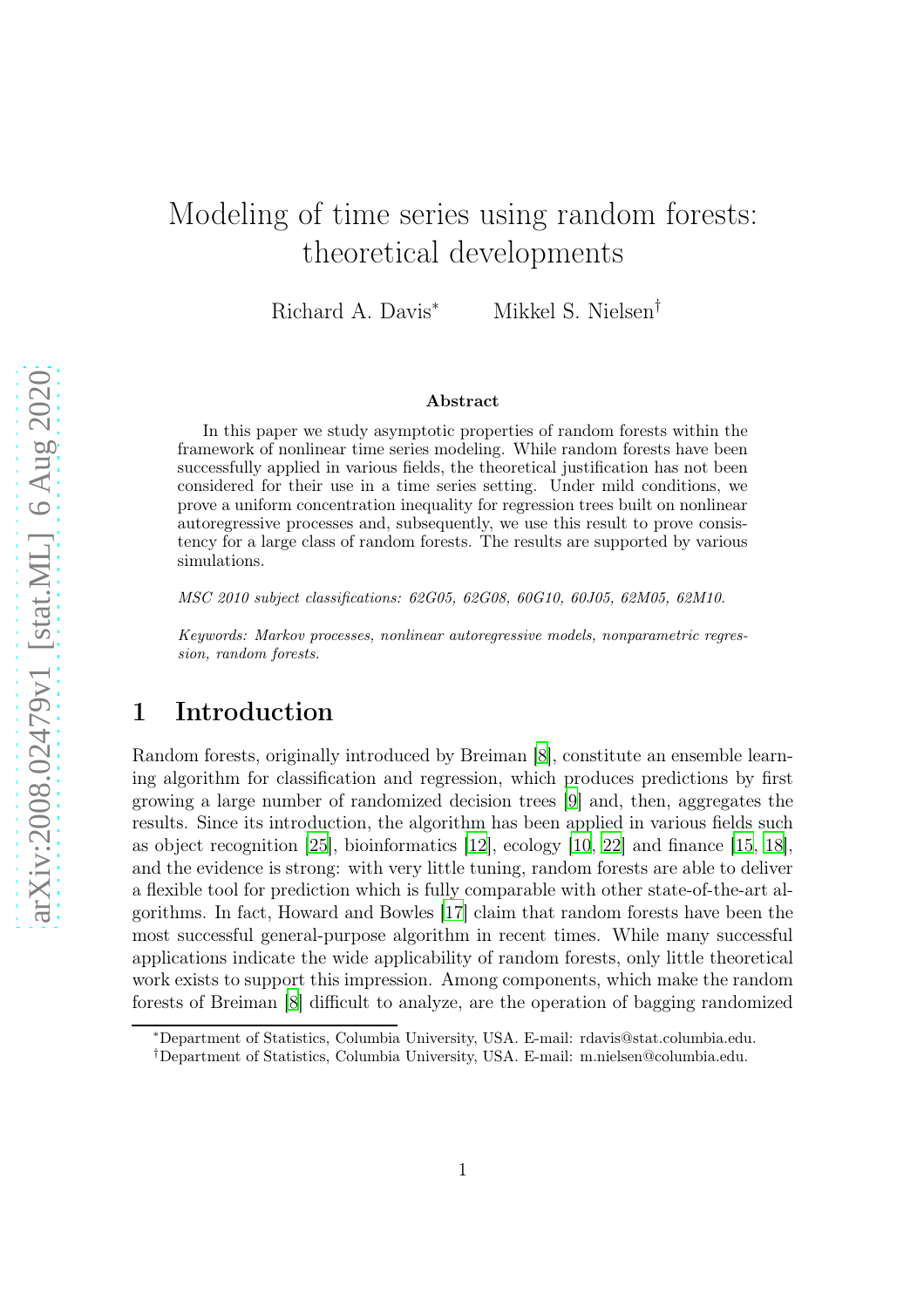# Modeling of time series using random forests: theoretical developments

Richard A. Davis<sup>∗</sup> Mikkel S. Nielsen†

#### Abstract

In this paper we study asymptotic properties of random forests within the framework of nonlinear time series modeling. While random forests have been successfully applied in various fields, the theoretical justification has not been considered for their use in a time series setting. Under mild conditions, we prove a uniform concentration inequality for regression trees built on nonlinear autoregressive processes and, subsequently, we use this result to prove consistency for a large class of random forests. The results are supported by various simulations.

MSC 2010 subject classifications: 62G05, 62G08, 60G10, 60J05, 62M05, 62M10.

Keywords: Markov processes, nonlinear autoregressive models, nonparametric regression, random forests.

### 1 Introduction

Random forests, originally introduced by Breiman [\[8](#page-27-0)], constitute an ensemble learning algorithm for classification and regression, which produces predictions by first growing a large number of randomized decision trees [\[9\]](#page-27-1) and, then, aggregates the results. Since its introduction, the algorithm has been applied in various fields such as object recognition [\[25](#page-28-0)], bioinformatics [\[12\]](#page-27-2), ecology [\[10,](#page-27-3) [22\]](#page-28-1) and finance [\[15](#page-27-4), [18](#page-28-2)], and the evidence is strong: with very little tuning, random forests are able to deliver a flexible tool for prediction which is fully comparable with other state-of-the-art algorithms. In fact, Howard and Bowles [\[17](#page-28-3)] claim that random forests have been the most successful general-purpose algorithm in recent times. While many successful applications indicate the wide applicability of random forests, only little theoretical work exists to support this impression. Among components, which make the random forests of Breiman [\[8\]](#page-27-0) difficult to analyze, are the operation of bagging randomized

<sup>∗</sup>Department of Statistics, Columbia University, USA. E-mail: rdavis@stat.columbia.edu.

<sup>†</sup>Department of Statistics, Columbia University, USA. E-mail: m.nielsen@columbia.edu.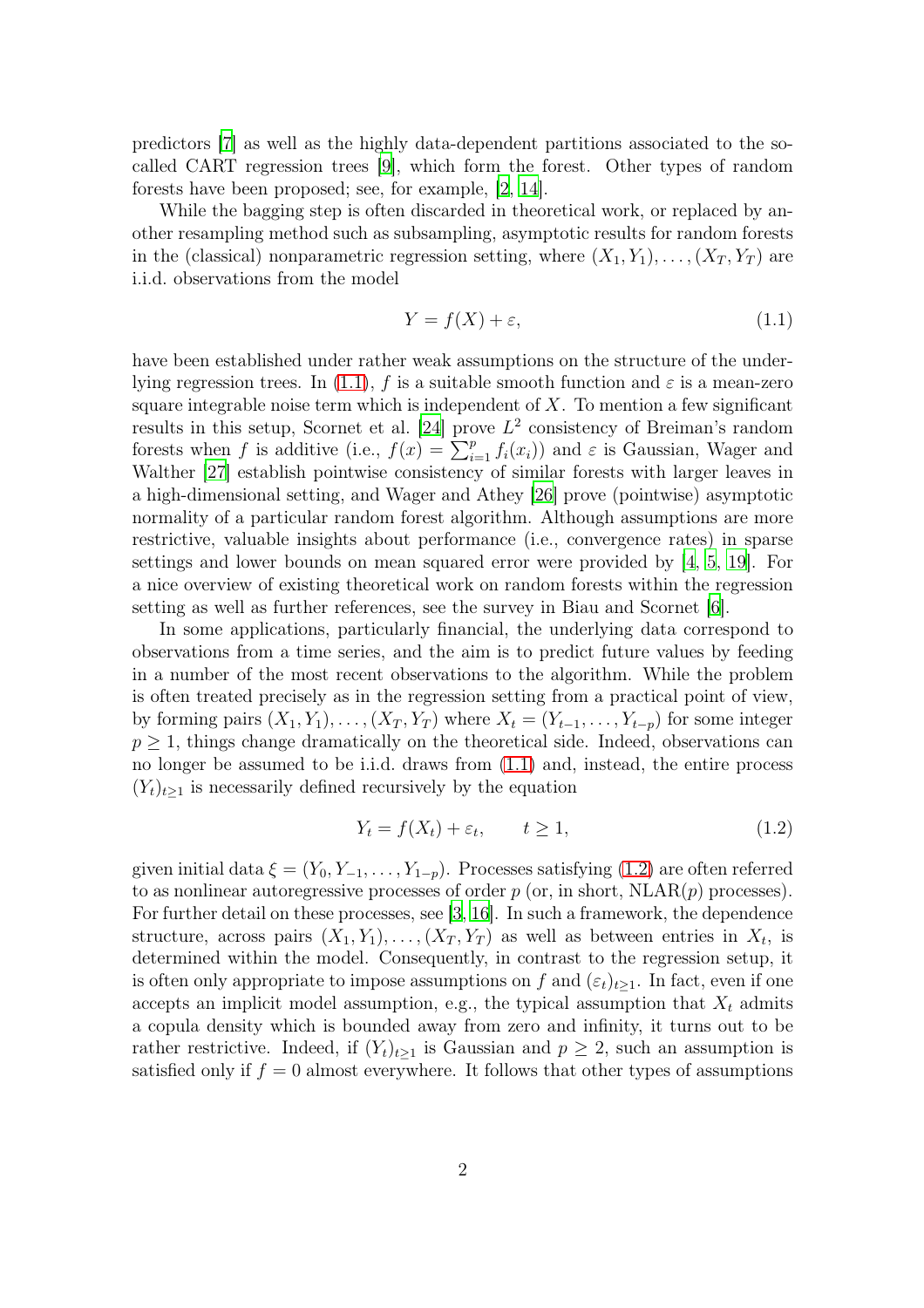predictors [\[7](#page-27-5)] as well as the highly data-dependent partitions associated to the socalled CART regression trees [\[9\]](#page-27-1), which form the forest. Other types of random forests have been proposed; see, for example, [\[2,](#page-27-6) [14\]](#page-27-7).

While the bagging step is often discarded in theoretical work, or replaced by another resampling method such as subsampling, asymptotic results for random forests in the (classical) nonparametric regression setting, where  $(X_1, Y_1), \ldots, (X_T, Y_T)$  are i.i.d. observations from the model

<span id="page-1-0"></span>
$$
Y = f(X) + \varepsilon,\tag{1.1}
$$

have been established under rather weak assumptions on the structure of the under-lying regression trees. In [\(1.1\)](#page-1-0), f is a suitable smooth function and  $\varepsilon$  is a mean-zero square integrable noise term which is independent of  $X$ . To mention a few significant results in this setup, Scornet et al. [\[24\]](#page-28-4) prove  $L^2$  consistency of Breiman's random forests when f is additive (i.e.,  $f(x) = \sum_{i=1}^{p} f_i(x_i)$ ) and  $\varepsilon$  is Gaussian, Wager and Walther [\[27](#page-28-5)] establish pointwise consistency of similar forests with larger leaves in a high-dimensional setting, and Wager and Athey [\[26](#page-28-6)] prove (pointwise) asymptotic normality of a particular random forest algorithm. Although assumptions are more restrictive, valuable insights about performance (i.e., convergence rates) in sparse settings and lower bounds on mean squared error were provided by [\[4,](#page-27-8) [5](#page-27-9), [19\]](#page-28-7). For a nice overview of existing theoretical work on random forests within the regression setting as well as further references, see the survey in Biau and Scornet [\[6\]](#page-27-10).

In some applications, particularly financial, the underlying data correspond to observations from a time series, and the aim is to predict future values by feeding in a number of the most recent observations to the algorithm. While the problem is often treated precisely as in the regression setting from a practical point of view, by forming pairs  $(X_1, Y_1), \ldots, (X_T, Y_T)$  where  $X_t = (Y_{t-1}, \ldots, Y_{t-p})$  for some integer  $p \geq 1$ , things change dramatically on the theoretical side. Indeed, observations can no longer be assumed to be i.i.d. draws from [\(1.1\)](#page-1-0) and, instead, the entire process  $(Y_t)_{t\geq 1}$  is necessarily defined recursively by the equation

<span id="page-1-1"></span>
$$
Y_t = f(X_t) + \varepsilon_t, \qquad t \ge 1,
$$
\n
$$
(1.2)
$$

given initial data  $\xi = (Y_0, Y_{-1}, \ldots, Y_{1-p})$ . Processes satisfying [\(1.2\)](#page-1-1) are often referred to as nonlinear autoregressive processes of order  $p$  (or, in short,  $N\text{LAR}(p)$  processes). For further detail on these processes, see [\[3](#page-27-11), [16\]](#page-28-8). In such a framework, the dependence structure, across pairs  $(X_1, Y_1), \ldots, (X_T, Y_T)$  as well as between entries in  $X_t$ , is determined within the model. Consequently, in contrast to the regression setup, it is often only appropriate to impose assumptions on f and  $(\varepsilon_t)_{t\geq 1}$ . In fact, even if one accepts an implicit model assumption, e.g., the typical assumption that  $X_t$  admits a copula density which is bounded away from zero and infinity, it turns out to be rather restrictive. Indeed, if  $(Y_t)_{t\geq 1}$  is Gaussian and  $p \geq 2$ , such an assumption is satisfied only if  $f = 0$  almost everywhere. It follows that other types of assumptions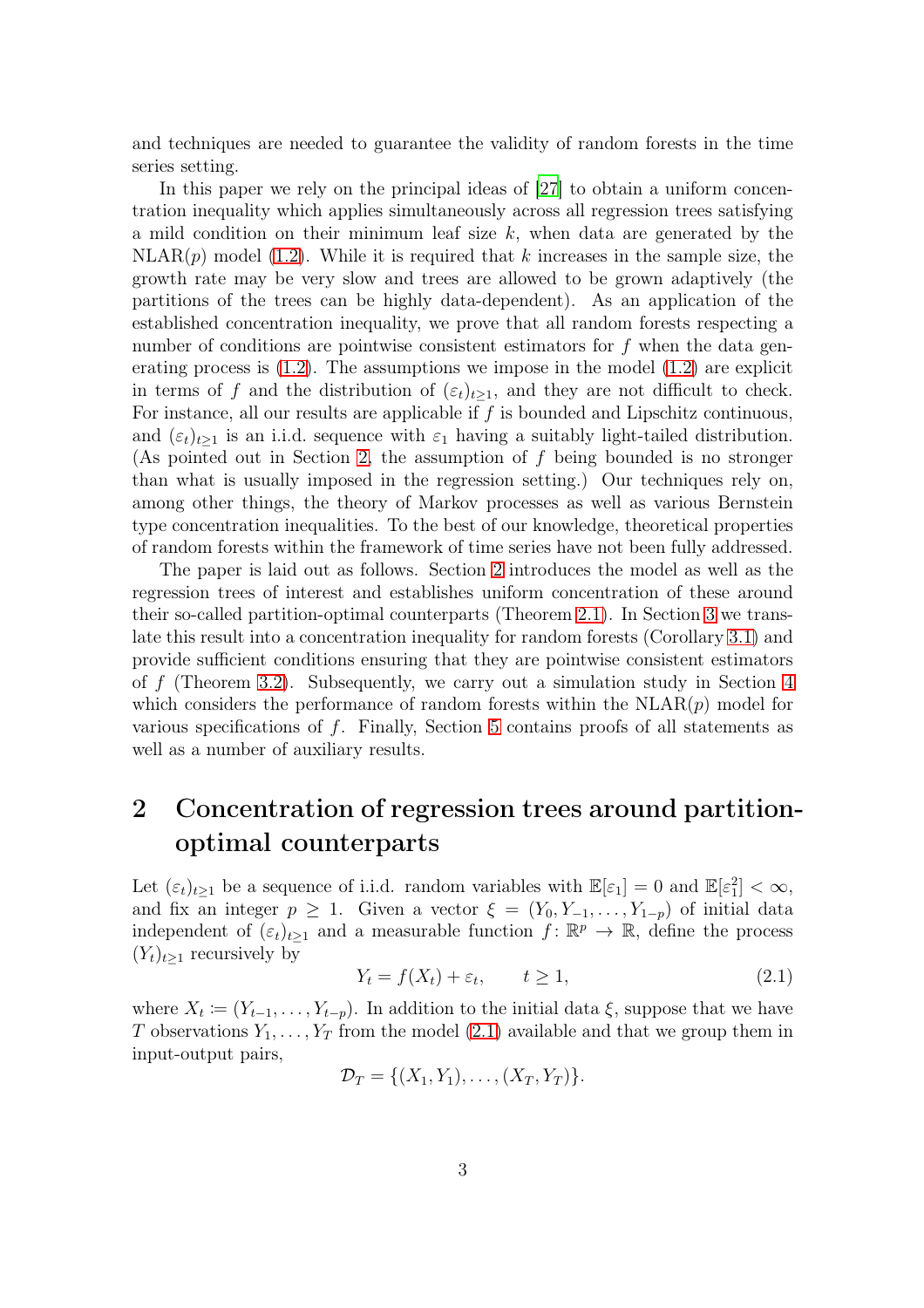and techniques are needed to guarantee the validity of random forests in the time series setting.

In this paper we rely on the principal ideas of [\[27](#page-28-5)] to obtain a uniform concentration inequality which applies simultaneously across all regression trees satisfying a mild condition on their minimum leaf size  $k$ , when data are generated by the  $NLRR(p)$  model [\(1.2\)](#page-1-1). While it is required that k increases in the sample size, the growth rate may be very slow and trees are allowed to be grown adaptively (the partitions of the trees can be highly data-dependent). As an application of the established concentration inequality, we prove that all random forests respecting a number of conditions are pointwise consistent estimators for f when the data generating process is  $(1.2)$ . The assumptions we impose in the model  $(1.2)$  are explicit in terms of f and the distribution of  $(\varepsilon_t)_{t\geq 1}$ , and they are not difficult to check. For instance, all our results are applicable if  $f$  is bounded and Lipschitz continuous, and  $(\varepsilon_t)_{t\geq 1}$  is an i.i.d. sequence with  $\varepsilon_1$  having a suitably light-tailed distribution. (As pointed out in Section [2,](#page-2-0) the assumption of  $f$  being bounded is no stronger than what is usually imposed in the regression setting.) Our techniques rely on, among other things, the theory of Markov processes as well as various Bernstein type concentration inequalities. To the best of our knowledge, theoretical properties of random forests within the framework of time series have not been fully addressed.

The paper is laid out as follows. Section [2](#page-2-0) introduces the model as well as the regression trees of interest and establishes uniform concentration of these around their so-called partition-optimal counterparts (Theorem [2.1\)](#page-5-0). In Section [3](#page-6-0) we translate this result into a concentration inequality for random forests (Corollary [3.1\)](#page-6-1) and provide sufficient conditions ensuring that they are pointwise consistent estimators of f (Theorem [3.2\)](#page-8-0). Subsequently, we carry out a simulation study in Section [4](#page-8-1) which considers the performance of random forests within the  $NLRR(p)$  model for various specifications of f. Finally, Section [5](#page-12-0) contains proofs of all statements as well as a number of auxiliary results.

## <span id="page-2-0"></span>2 Concentration of regression trees around partitionoptimal counterparts

Let  $(\varepsilon_t)_{t\geq 1}$  be a sequence of i.i.d. random variables with  $\mathbb{E}[\varepsilon_1] = 0$  and  $\mathbb{E}[\varepsilon_1^2] < \infty$ , and fix an integer  $p \geq 1$ . Given a vector  $\xi = (Y_0, Y_{-1}, \ldots, Y_{1-p})$  of initial data independent of  $(\varepsilon_t)_{t\geq 1}$  and a measurable function  $f: \mathbb{R}^p \to \mathbb{R}$ , define the process  $(Y_t)_{t\geq 1}$  recursively by

<span id="page-2-1"></span>
$$
Y_t = f(X_t) + \varepsilon_t, \qquad t \ge 1,
$$
\n
$$
(2.1)
$$

where  $X_t := (Y_{t-1}, \ldots, Y_{t-p})$ . In addition to the initial data  $\xi$ , suppose that we have T observations  $Y_1, \ldots, Y_T$  from the model [\(2.1\)](#page-2-1) available and that we group them in input-output pairs,

$$
\mathcal{D}_T = \{ (X_1, Y_1), \ldots, (X_T, Y_T) \}.
$$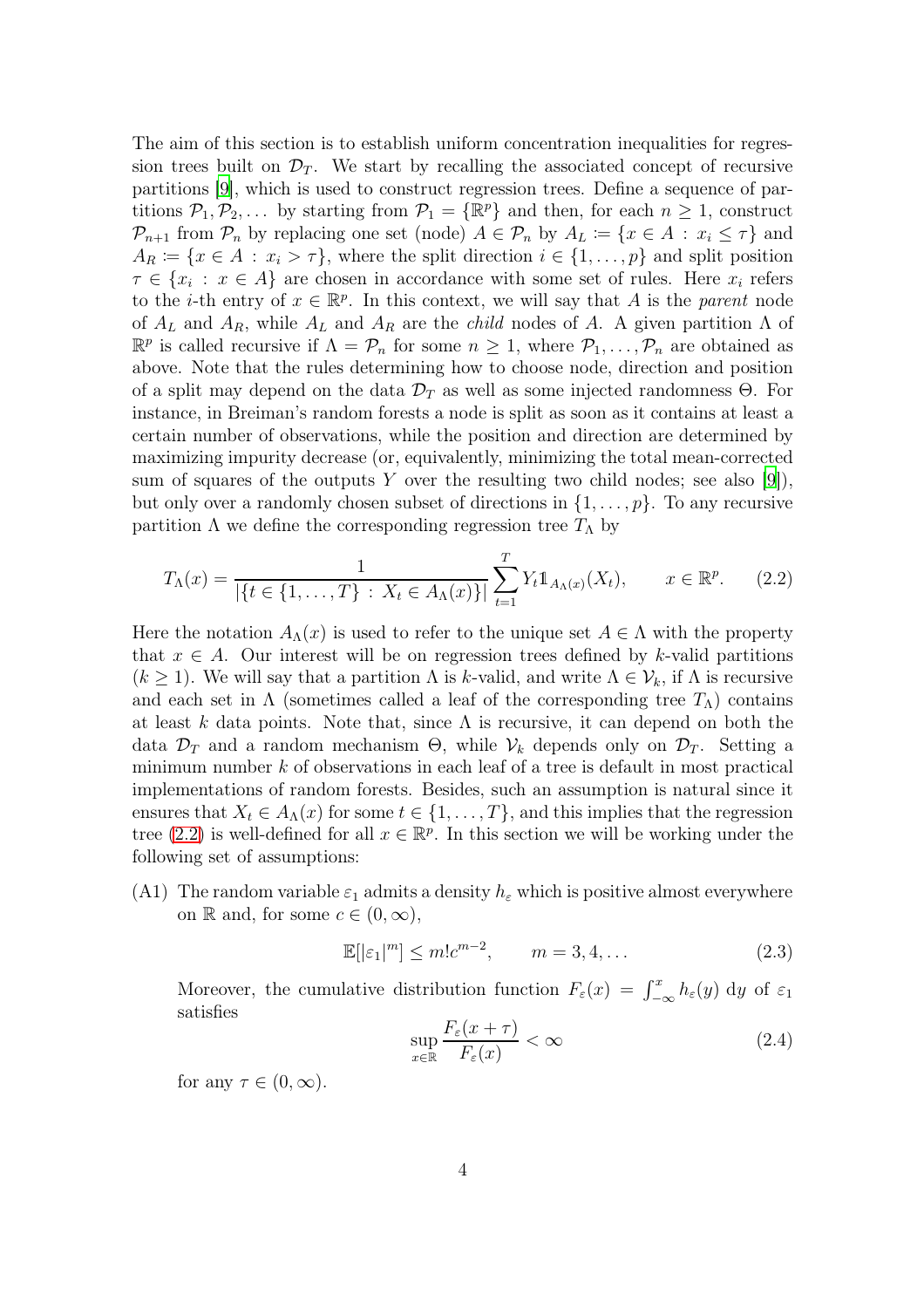The aim of this section is to establish uniform concentration inequalities for regression trees built on  $\mathcal{D}_T$ . We start by recalling the associated concept of recursive partitions [\[9](#page-27-1)], which is used to construct regression trees. Define a sequence of partitions  $P_1, P_2, \ldots$  by starting from  $P_1 = \{\mathbb{R}^p\}$  and then, for each  $n \geq 1$ , construct  $\mathcal{P}_{n+1}$  from  $\mathcal{P}_n$  by replacing one set (node)  $A \in \mathcal{P}_n$  by  $A_L \coloneqq \{x \in A : x_i \leq \tau\}$  and  $A_R := \{x \in A : x_i > \tau\}$ , where the split direction  $i \in \{1, \ldots, p\}$  and split position  $\tau \in \{x_i : x \in A\}$  are chosen in accordance with some set of rules. Here  $x_i$  refers to the *i*-th entry of  $x \in \mathbb{R}^p$ . In this context, we will say that A is the *parent* node of  $A_L$  and  $A_R$ , while  $A_L$  and  $A_R$  are the *child* nodes of A. A given partition  $\Lambda$  of  $\mathbb{R}^p$  is called recursive if  $\Lambda = \mathcal{P}_n$  for some  $n \geq 1$ , where  $\mathcal{P}_1, \ldots, \mathcal{P}_n$  are obtained as above. Note that the rules determining how to choose node, direction and position of a split may depend on the data  $\mathcal{D}_T$  as well as some injected randomness  $\Theta$ . For instance, in Breiman's random forests a node is split as soon as it contains at least a certain number of observations, while the position and direction are determined by maximizing impurity decrease (or, equivalently, minimizing the total mean-corrected sum of squares of the outputs Y over the resulting two child nodes; see also  $[9]$ ), but only over a randomly chosen subset of directions in  $\{1, \ldots, p\}$ . To any recursive partition  $\Lambda$  we define the corresponding regression tree  $T_{\Lambda}$  by

<span id="page-3-0"></span>
$$
T_{\Lambda}(x) = \frac{1}{|\{t \in \{1, ..., T\} : X_t \in A_{\Lambda}(x)\}|} \sum_{t=1}^{T} Y_t \mathbb{1}_{A_{\Lambda}(x)}(X_t), \qquad x \in \mathbb{R}^p. \tag{2.2}
$$

Here the notation  $A_{\Lambda}(x)$  is used to refer to the unique set  $A \in \Lambda$  with the property that  $x \in A$ . Our interest will be on regression trees defined by k-valid partitions  $(k > 1)$ . We will say that a partition  $\Lambda$  is k-valid, and write  $\Lambda \in \mathcal{V}_k$ , if  $\Lambda$  is recursive and each set in  $\Lambda$  (sometimes called a leaf of the corresponding tree  $T_{\Lambda}$ ) contains at least k data points. Note that, since  $\Lambda$  is recursive, it can depend on both the data  $\mathcal{D}_T$  and a random mechanism  $\Theta$ , while  $\mathcal{V}_k$  depends only on  $\mathcal{D}_T$ . Setting a minimum number  $k$  of observations in each leaf of a tree is default in most practical implementations of random forests. Besides, such an assumption is natural since it ensures that  $X_t \in A_{\Lambda}(x)$  for some  $t \in \{1, \ldots, T\}$ , and this implies that the regression tree [\(2.2\)](#page-3-0) is well-defined for all  $x \in \mathbb{R}^p$ . In this section we will be working under the following set of assumptions:

<span id="page-3-1"></span>(A1) The random variable  $\varepsilon_1$  admits a density  $h_{\varepsilon}$  which is positive almost everywhere on R and, for some  $c \in (0, \infty)$ ,

<span id="page-3-2"></span>
$$
\mathbb{E}[\left|\varepsilon_1\right|^m] \le m!c^{m-2}, \qquad m = 3, 4, \dots \tag{2.3}
$$

Moreover, the cumulative distribution function  $F_{\varepsilon}(x) = \int_{-\infty}^{x} h_{\varepsilon}(y) dy$  of  $\varepsilon_1$ satisfies

<span id="page-3-3"></span>
$$
\sup_{x \in \mathbb{R}} \frac{F_{\varepsilon}(x+\tau)}{F_{\varepsilon}(x)} < \infty \tag{2.4}
$$

for any  $\tau \in (0, \infty)$ .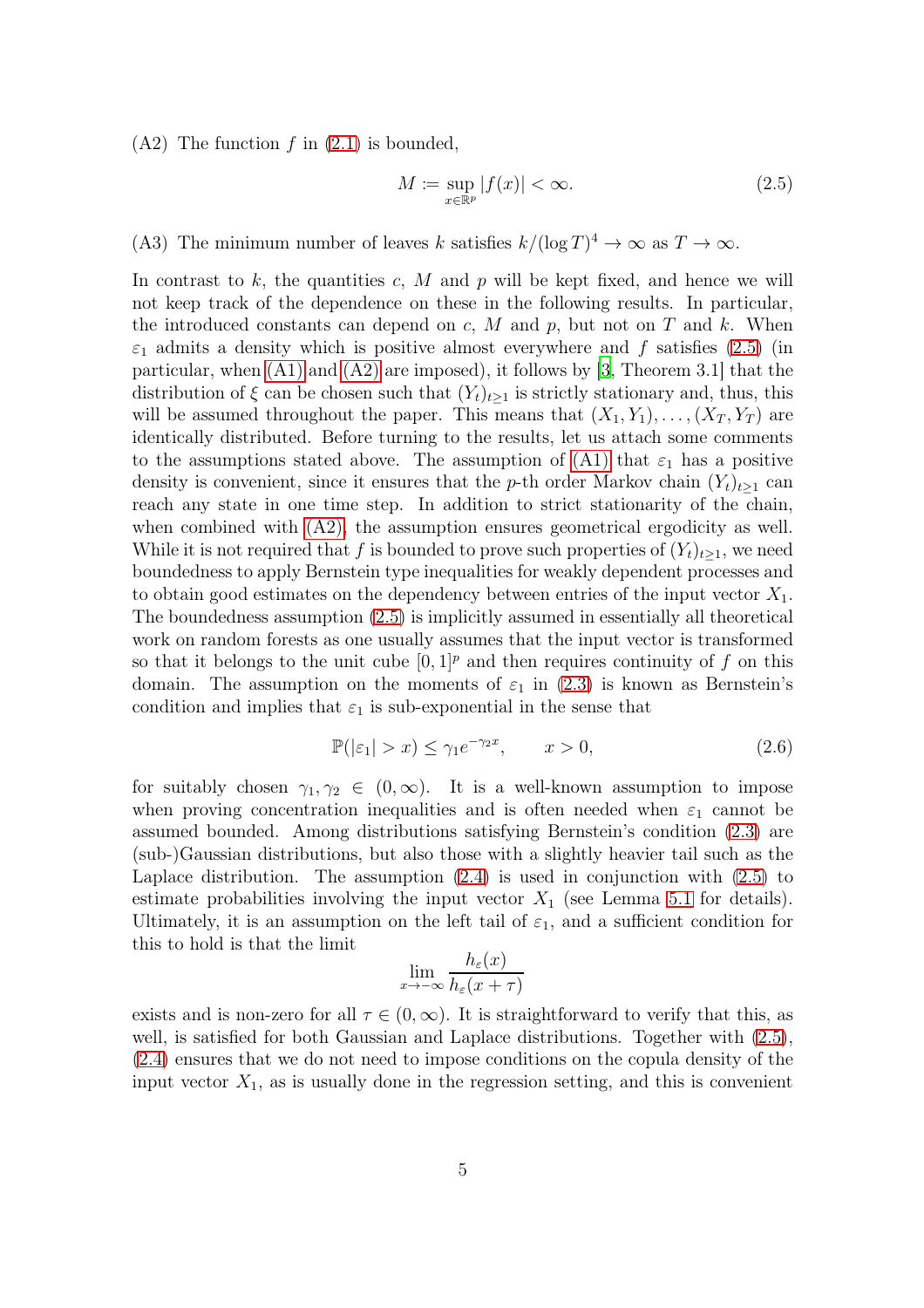<span id="page-4-1"></span> $(A2)$  The function f in  $(2.1)$  is bounded,

<span id="page-4-0"></span>
$$
M \coloneqq \sup_{x \in \mathbb{R}^p} |f(x)| < \infty. \tag{2.5}
$$

<span id="page-4-2"></span>(A3) The minimum number of leaves k satisfies  $k/(\log T)^4 \to \infty$  as  $T \to \infty$ .

In contrast to  $k$ , the quantities  $c$ ,  $M$  and  $p$  will be kept fixed, and hence we will not keep track of the dependence on these in the following results. In particular, the introduced constants can depend on  $c, M$  and  $p$ , but not on  $T$  and  $k$ . When  $\varepsilon_1$  admits a density which is positive almost everywhere and f satisfies [\(2.5\)](#page-4-0) (in particular, when [\(A1\)](#page-3-1) and [\(A2\)](#page-4-1) are imposed), it follows by [\[3](#page-27-11), Theorem 3.1] that the distribution of  $\xi$  can be chosen such that  $(Y_t)_{t\geq 1}$  is strictly stationary and, thus, this will be assumed throughout the paper. This means that  $(X_1, Y_1), \ldots, (X_T, Y_T)$  are identically distributed. Before turning to the results, let us attach some comments to the assumptions stated above. The assumption of [\(A1\)](#page-3-1) that  $\varepsilon_1$  has a positive density is convenient, since it ensures that the p-th order Markov chain  $(Y_t)_{t\geq 1}$  can reach any state in one time step. In addition to strict stationarity of the chain, when combined with [\(A2\),](#page-4-1) the assumption ensures geometrical ergodicity as well. While it is not required that f is bounded to prove such properties of  $(Y_t)_{t\geq 1}$ , we need boundedness to apply Bernstein type inequalities for weakly dependent processes and to obtain good estimates on the dependency between entries of the input vector  $X_1$ . The boundedness assumption [\(2.5\)](#page-4-0) is implicitly assumed in essentially all theoretical work on random forests as one usually assumes that the input vector is transformed so that it belongs to the unit cube  $[0, 1]^p$  and then requires continuity of f on this domain. The assumption on the moments of  $\varepsilon_1$  in [\(2.3\)](#page-3-2) is known as Bernstein's condition and implies that  $\varepsilon_1$  is sub-exponential in the sense that

<span id="page-4-3"></span>
$$
\mathbb{P}(|\varepsilon_1| > x) \le \gamma_1 e^{-\gamma_2 x}, \qquad x > 0,
$$
\n(2.6)

for suitably chosen  $\gamma_1, \gamma_2 \in (0, \infty)$ . It is a well-known assumption to impose when proving concentration inequalities and is often needed when  $\varepsilon_1$  cannot be assumed bounded. Among distributions satisfying Bernstein's condition [\(2.3\)](#page-3-2) are (sub-)Gaussian distributions, but also those with a slightly heavier tail such as the Laplace distribution. The assumption [\(2.4\)](#page-3-3) is used in conjunction with [\(2.5\)](#page-4-0) to estimate probabilities involving the input vector  $X_1$  (see Lemma [5.1](#page-13-0) for details). Ultimately, it is an assumption on the left tail of  $\varepsilon_1$ , and a sufficient condition for this to hold is that the limit

$$
\lim_{x \to -\infty} \frac{h_{\varepsilon}(x)}{h_{\varepsilon}(x+\tau)}
$$

exists and is non-zero for all  $\tau \in (0,\infty)$ . It is straightforward to verify that this, as well, is satisfied for both Gaussian and Laplace distributions. Together with  $(2.5)$ , [\(2.4\)](#page-3-3) ensures that we do not need to impose conditions on the copula density of the input vector  $X_1$ , as is usually done in the regression setting, and this is convenient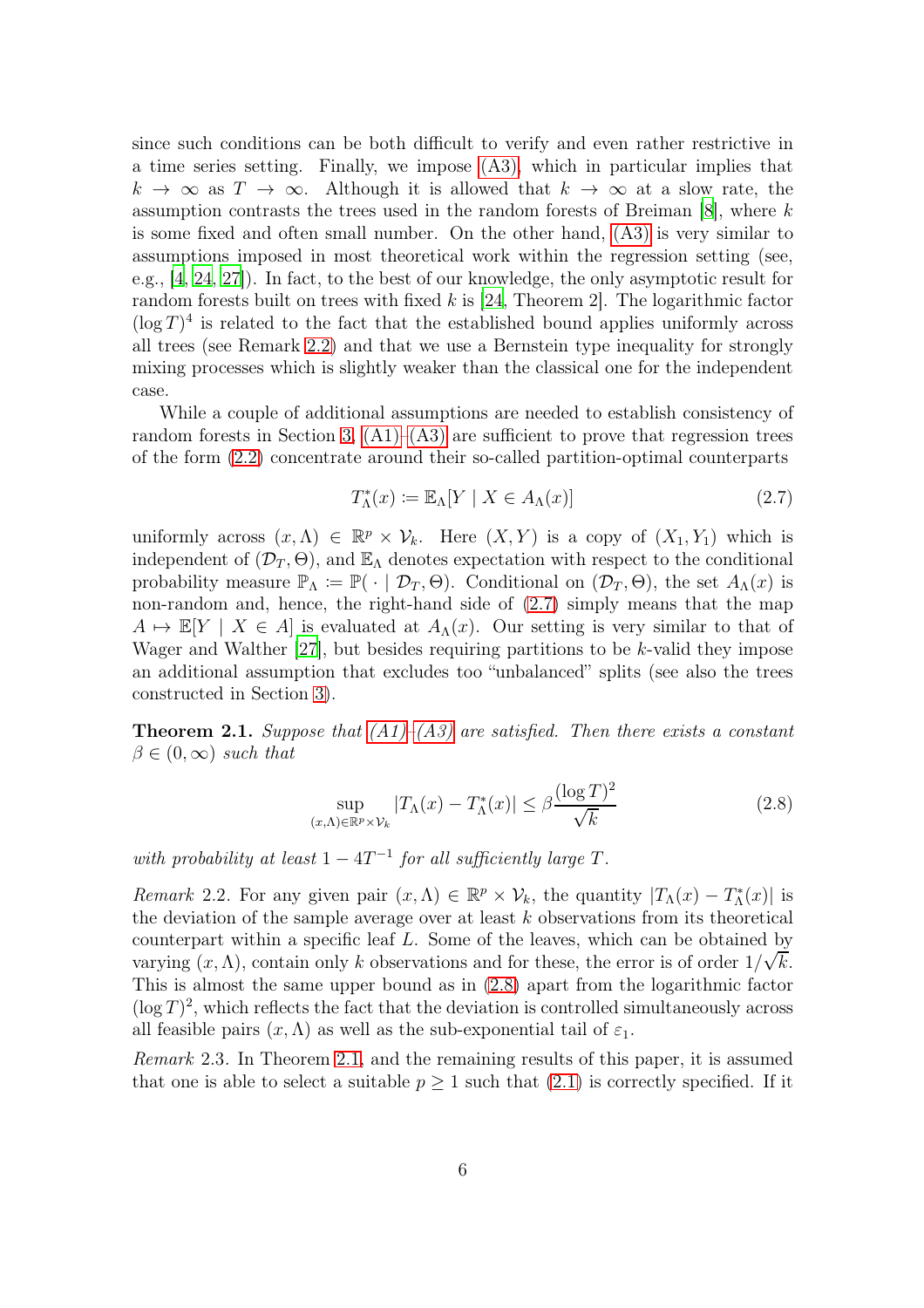since such conditions can be both difficult to verify and even rather restrictive in a time series setting. Finally, we impose [\(A3\),](#page-4-2) which in particular implies that  $k \to \infty$  as  $T \to \infty$ . Although it is allowed that  $k \to \infty$  at a slow rate, the assumption contrasts the trees used in the random forests of Breiman [\[8](#page-27-0)], where k is some fixed and often small number. On the other hand, [\(A3\)](#page-4-2) is very similar to assumptions imposed in most theoretical work within the regression setting (see, e.g., [\[4](#page-27-8), [24,](#page-28-4) [27\]](#page-28-5)). In fact, to the best of our knowledge, the only asymptotic result for random forests built on trees with fixed  $k$  is [\[24,](#page-28-4) Theorem 2]. The logarithmic factor  $(\log T)^4$  is related to the fact that the established bound applies uniformly across all trees (see Remark [2.2\)](#page-5-1) and that we use a Bernstein type inequality for strongly mixing processes which is slightly weaker than the classical one for the independent case.

While a couple of additional assumptions are needed to establish consistency of random forests in Section [3,](#page-6-0)  $(A1)$ – $(A3)$  are sufficient to prove that regression trees of the form [\(2.2\)](#page-3-0) concentrate around their so-called partition-optimal counterparts

<span id="page-5-2"></span>
$$
T_{\Lambda}^*(x) := \mathbb{E}_{\Lambda}[Y \mid X \in A_{\Lambda}(x)] \tag{2.7}
$$

uniformly across  $(x, \Lambda) \in \mathbb{R}^p \times V_k$ . Here  $(X, Y)$  is a copy of  $(X_1, Y_1)$  which is independent of  $(\mathcal{D}_T, \Theta)$ , and  $\mathbb{E}_{\Lambda}$  denotes expectation with respect to the conditional probability measure  $\mathbb{P}_{\Lambda} \coloneqq \mathbb{P}(\cdot | \mathcal{D}_T, \Theta)$ . Conditional on  $(\mathcal{D}_T, \Theta)$ , the set  $A_{\Lambda}(x)$  is non-random and, hence, the right-hand side of [\(2.7\)](#page-5-2) simply means that the map  $A \mapsto \mathbb{E}[Y \mid X \in A]$  is evaluated at  $A_{\Lambda}(x)$ . Our setting is very similar to that of Wager and Walther  $[27]$ , but besides requiring partitions to be k-valid they impose an additional assumption that excludes too "unbalanced" splits (see also the trees constructed in Section [3\)](#page-6-0).

<span id="page-5-0"></span>**Theorem 2.1.** Suppose that  $(A1)$ – $(A3)$  are satisfied. Then there exists a constant  $\beta \in (0,\infty)$  such that

<span id="page-5-3"></span>
$$
\sup_{(x,\Lambda)\in\mathbb{R}^p\times\mathcal{V}_k} |T_\Lambda(x) - T_\Lambda^*(x)| \le \beta \frac{(\log T)^2}{\sqrt{k}}\tag{2.8}
$$

with probability at least  $1 - 4T^{-1}$  for all sufficiently large T.

<span id="page-5-1"></span>Remark 2.2. For any given pair  $(x, \Lambda) \in \mathbb{R}^p \times V_k$ , the quantity  $|T_\Lambda(x) - T_\Lambda^*(x)|$  is the deviation of the sample average over at least  $k$  observations from its theoretical counterpart within a specific leaf L. Some of the leaves, which can be obtained by varying  $(x, \Lambda)$ , contain only k observations and for these, the error is of order  $1/\sqrt{k}$ . This is almost the same upper bound as in [\(2.8\)](#page-5-3) apart from the logarithmic factor  $(\log T)^2$ , which reflects the fact that the deviation is controlled simultaneously across all feasible pairs  $(x, \Lambda)$  as well as the sub-exponential tail of  $\varepsilon_1$ .

Remark 2.3. In Theorem [2.1,](#page-5-0) and the remaining results of this paper, it is assumed that one is able to select a suitable  $p \geq 1$  such that  $(2.1)$  is correctly specified. If it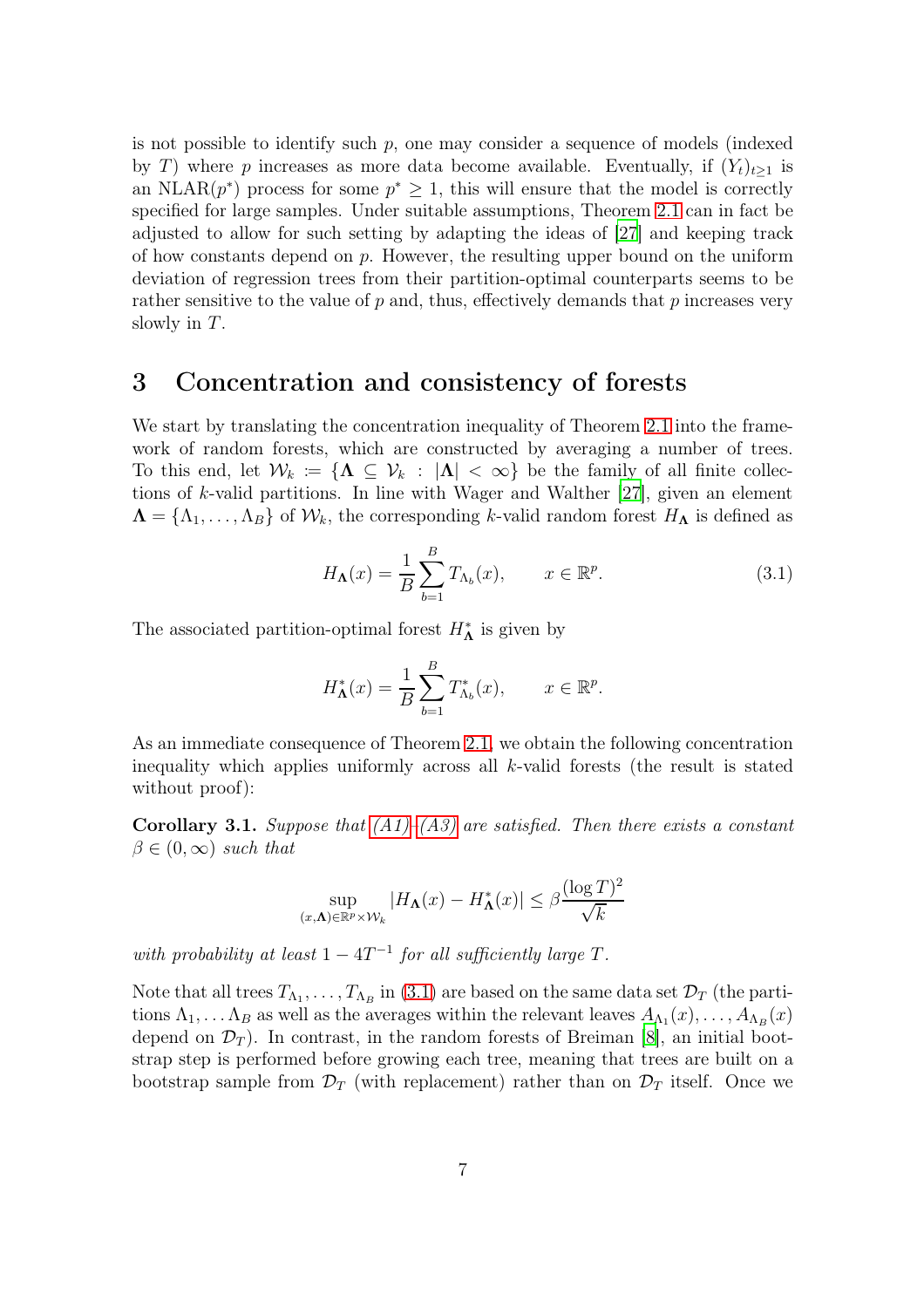is not possible to identify such  $p$ , one may consider a sequence of models (indexed by T) where p increases as more data become available. Eventually, if  $(Y_t)_{t\geq 1}$  is an NLAR $(p^*)$  process for some  $p^* \geq 1$ , this will ensure that the model is correctly specified for large samples. Under suitable assumptions, Theorem [2.1](#page-5-0) can in fact be adjusted to allow for such setting by adapting the ideas of [\[27\]](#page-28-5) and keeping track of how constants depend on  $p$ . However, the resulting upper bound on the uniform deviation of regression trees from their partition-optimal counterparts seems to be rather sensitive to the value of  $p$  and, thus, effectively demands that  $p$  increases very slowly in  $T$ .

#### <span id="page-6-0"></span>3 Concentration and consistency of forests

We start by translating the concentration inequality of Theorem [2.1](#page-5-0) into the framework of random forests, which are constructed by averaging a number of trees. To this end, let  $\mathcal{W}_k := {\Lambda \subseteq \mathcal{V}_k : |\Lambda| < \infty}$  be the family of all finite collections of k-valid partitions. In line with Wager and Walther [\[27\]](#page-28-5), given an element  $\Lambda = \{\Lambda_1, \ldots, \Lambda_B\}$  of  $\mathcal{W}_k$ , the corresponding k-valid random forest  $H_\Lambda$  is defined as

<span id="page-6-2"></span>
$$
H_{\mathbf{\Lambda}}(x) = \frac{1}{B} \sum_{b=1}^{B} T_{\Lambda_b}(x), \qquad x \in \mathbb{R}^p.
$$
 (3.1)

The associated partition-optimal forest  $H_{\Lambda}^*$  is given by

$$
H_{\mathbf{\Lambda}}^*(x) = \frac{1}{B} \sum_{b=1}^B T_{\Lambda_b}^*(x), \qquad x \in \mathbb{R}^p.
$$

As an immediate consequence of Theorem [2.1,](#page-5-0) we obtain the following concentration inequality which applies uniformly across all  $k$ -valid forests (the result is stated without proof):

<span id="page-6-1"></span>**Corollary 3.1.** Suppose that  $(A1)$ – $(A3)$  are satisfied. Then there exists a constant  $\beta \in (0,\infty)$  such that

$$
\sup_{(x,\Lambda)\in\mathbb{R}^p\times\mathcal{W}_k} |H_{\Lambda}(x) - H_{\Lambda}^*(x)| \leq \beta \frac{(\log T)^2}{\sqrt{k}}
$$

with probability at least  $1 - 4T^{-1}$  for all sufficiently large T.

Note that all trees  $T_{\Lambda_1}, \ldots, T_{\Lambda_B}$  in [\(3.1\)](#page-6-2) are based on the same data set  $\mathcal{D}_T$  (the partitions  $\Lambda_1, \ldots, \Lambda_B$  as well as the averages within the relevant leaves  $A_{\Lambda_1}(x), \ldots, A_{\Lambda_B}(x)$ depend on  $\mathcal{D}_T$ ). In contrast, in the random forests of Breiman [\[8\]](#page-27-0), an initial bootstrap step is performed before growing each tree, meaning that trees are built on a bootstrap sample from  $\mathcal{D}_T$  (with replacement) rather than on  $\mathcal{D}_T$  itself. Once we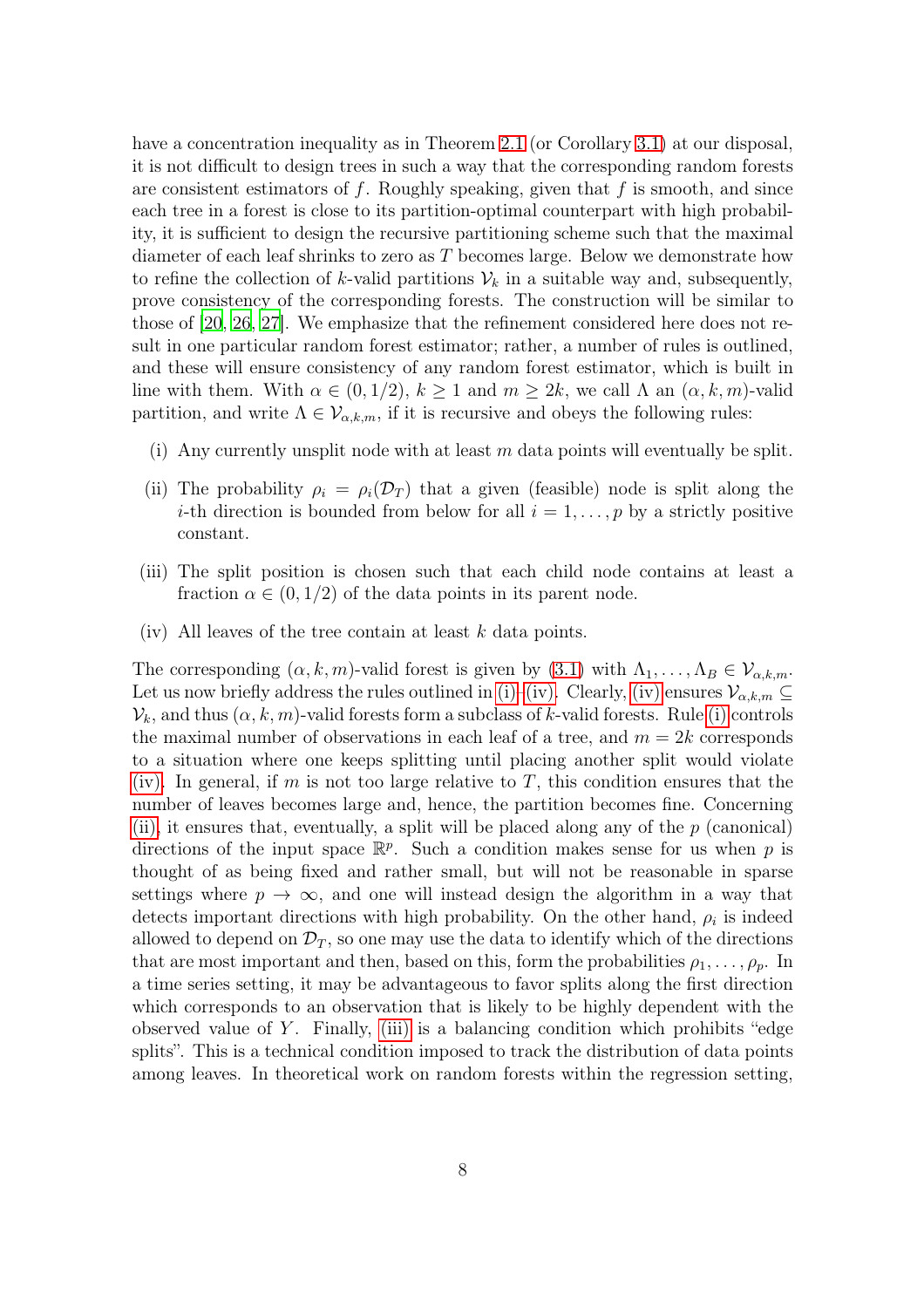have a concentration inequality as in Theorem [2.1](#page-5-0) (or Corollary [3.1\)](#page-6-1) at our disposal, it is not difficult to design trees in such a way that the corresponding random forests are consistent estimators of f. Roughly speaking, given that f is smooth, and since each tree in a forest is close to its partition-optimal counterpart with high probability, it is sufficient to design the recursive partitioning scheme such that the maximal diameter of each leaf shrinks to zero as T becomes large. Below we demonstrate how to refine the collection of k-valid partitions  $\mathcal{V}_k$  in a suitable way and, subsequently, prove consistency of the corresponding forests. The construction will be similar to those of [\[20](#page-28-9), [26,](#page-28-6) [27](#page-28-5)]. We emphasize that the refinement considered here does not result in one particular random forest estimator; rather, a number of rules is outlined, and these will ensure consistency of any random forest estimator, which is built in line with them. With  $\alpha \in (0, 1/2)$ ,  $k \ge 1$  and  $m \ge 2k$ , we call  $\Lambda$  an  $(\alpha, k, m)$ -valid partition, and write  $\Lambda \in \mathcal{V}_{\alpha,k,m}$ , if it is recursive and obeys the following rules:

- <span id="page-7-2"></span><span id="page-7-0"></span>(i) Any currently unsplit node with at least  $m$  data points will eventually be split.
- (ii) The probability  $\rho_i = \rho_i(\mathcal{D}_T)$  that a given (feasible) node is split along the *i*-th direction is bounded from below for all  $i = 1, \ldots, p$  by a strictly positive constant.
- <span id="page-7-3"></span><span id="page-7-1"></span>(iii) The split position is chosen such that each child node contains at least a fraction  $\alpha \in (0, 1/2)$  of the data points in its parent node.
- (iv) All leaves of the tree contain at least  $k$  data points.

The corresponding  $(\alpha, k, m)$ -valid forest is given by  $(3.1)$  with  $\Lambda_1, \ldots, \Lambda_B \in \mathcal{V}_{\alpha, k, m}$ . Let us now briefly address the rules outlined in [\(i\)–](#page-7-0)[\(iv\).](#page-7-1) Clearly, [\(iv\)](#page-7-1) ensures  $\mathcal{V}_{\alpha,k,m} \subseteq$  $\mathcal{V}_k$ , and thus  $(\alpha, k, m)$ -valid forests form a subclass of k-valid forests. Rule [\(i\)](#page-7-0) controls the maximal number of observations in each leaf of a tree, and  $m = 2k$  corresponds to a situation where one keeps splitting until placing another split would violate [\(iv\).](#page-7-1) In general, if m is not too large relative to T, this condition ensures that the number of leaves becomes large and, hence, the partition becomes fine. Concerning [\(ii\),](#page-7-2) it ensures that, eventually, a split will be placed along any of the  $p$  (canonical) directions of the input space  $\mathbb{R}^p$ . Such a condition makes sense for us when p is thought of as being fixed and rather small, but will not be reasonable in sparse settings where  $p \to \infty$ , and one will instead design the algorithm in a way that detects important directions with high probability. On the other hand,  $\rho_i$  is indeed allowed to depend on  $\mathcal{D}_T$ , so one may use the data to identify which of the directions that are most important and then, based on this, form the probabilities  $\rho_1, \ldots, \rho_p$ . In a time series setting, it may be advantageous to favor splits along the first direction which corresponds to an observation that is likely to be highly dependent with the observed value of Y. Finally, [\(iii\)](#page-7-3) is a balancing condition which prohibits "edge splits". This is a technical condition imposed to track the distribution of data points among leaves. In theoretical work on random forests within the regression setting,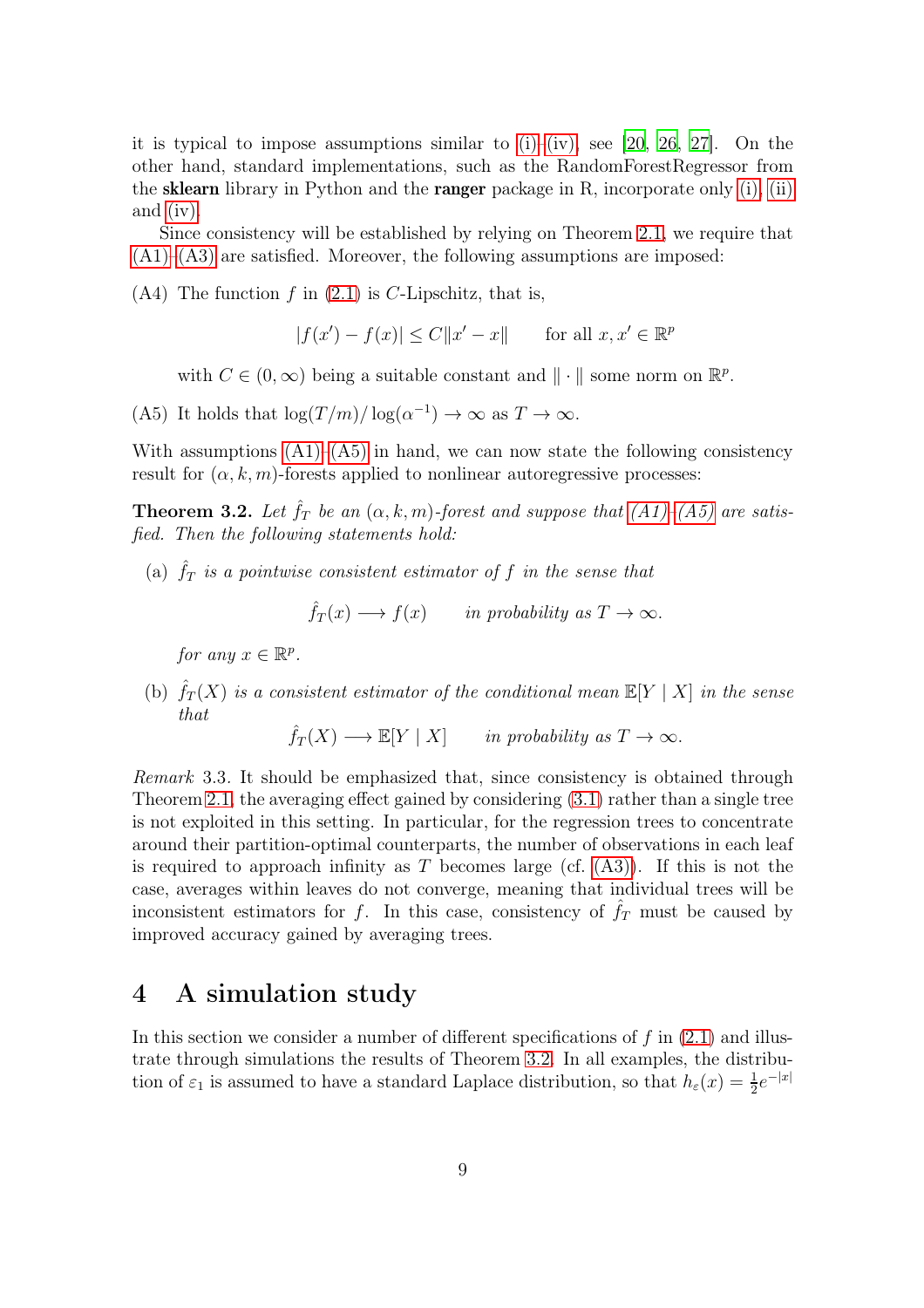it is typical to impose assumptions similar to  $(i)$ – $(iv)$ , see [\[20](#page-28-9), [26,](#page-28-6) [27\]](#page-28-5). On the other hand, standard implementations, such as the RandomForestRegressor from the **sklearn** library in Python and the **ranger** package in R, incorporate only [\(i\),](#page-7-0) [\(ii\)](#page-7-2) and [\(iv\).](#page-7-1)

<span id="page-8-3"></span>Since consistency will be established by relying on Theorem [2.1,](#page-5-0) we require that  $(A1)$ – $(A3)$  are satisfied. Moreover, the following assumptions are imposed:

 $(A4)$  The function f in  $(2.1)$  is C-Lipschitz, that is,

$$
|f(x') - f(x)| \le C||x' - x|| \qquad \text{for all } x, x' \in \mathbb{R}^p
$$

with  $C \in (0, \infty)$  being a suitable constant and  $\|\cdot\|$  some norm on  $\mathbb{R}^p$ .

<span id="page-8-2"></span>(A5) It holds that  $\log(T/m)/\log(\alpha^{-1}) \to \infty$  as  $T \to \infty$ .

With assumptions  $(A1)$ – $(A5)$  in hand, we can now state the following consistency result for  $(\alpha, k, m)$ -forests applied to nonlinear autoregressive processes:

<span id="page-8-0"></span>**Theorem 3.2.** Let  $\hat{f}_T$  be an  $(\alpha, k, m)$ -forest and suppose that  $(A1)$ - $(A5)$  are satisfied. Then the following statements hold:

(a)  $\hat{f}_T$  is a pointwise consistent estimator of f in the sense that

$$
\hat{f}_T(x) \longrightarrow f(x)
$$
 in probability as  $T \to \infty$ .

for any  $x \in \mathbb{R}^p$ .

(b)  $\hat{f}_T(X)$  is a consistent estimator of the conditional mean  $\mathbb{E}[Y | X]$  in the sense that

 $\hat{f}_T(X) \longrightarrow \mathbb{E}[Y \mid X]$  in probability as  $T \to \infty$ .

Remark 3.3. It should be emphasized that, since consistency is obtained through Theorem [2.1,](#page-5-0) the averaging effect gained by considering [\(3.1\)](#page-6-2) rather than a single tree is not exploited in this setting. In particular, for the regression trees to concentrate around their partition-optimal counterparts, the number of observations in each leaf is required to approach infinity as T becomes large (cf.  $(A3)$ ). If this is not the case, averages within leaves do not converge, meaning that individual trees will be inconsistent estimators for f. In this case, consistency of  $\hat{f}_T$  must be caused by improved accuracy gained by averaging trees.

#### <span id="page-8-1"></span>4 A simulation study

In this section we consider a number of different specifications of  $f$  in  $(2.1)$  and illustrate through simulations the results of Theorem [3.2.](#page-8-0) In all examples, the distribution of  $\varepsilon_1$  is assumed to have a standard Laplace distribution, so that  $h_{\varepsilon}(x) = \frac{1}{2}e^{-|x|}$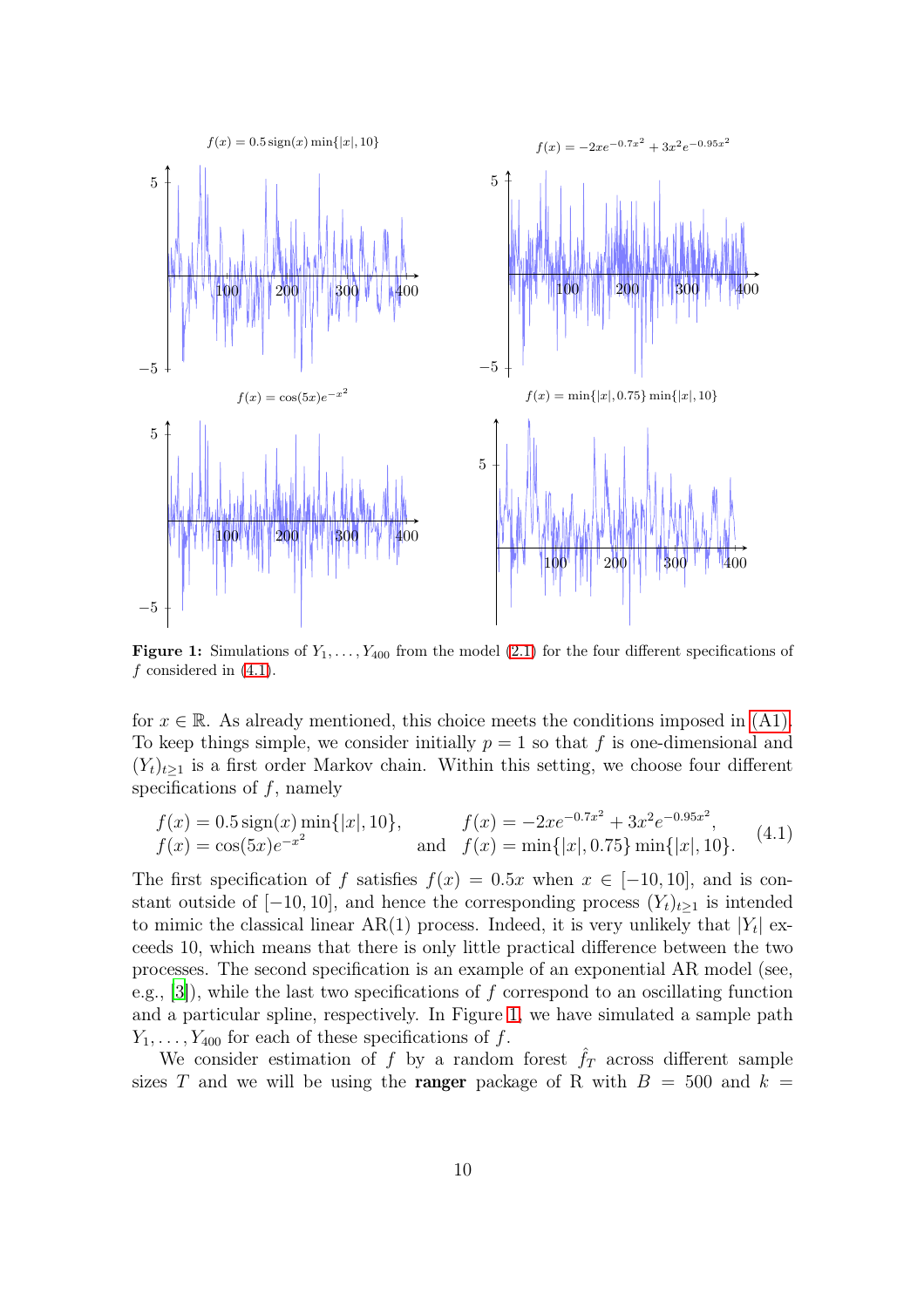<span id="page-9-1"></span>

**Figure 1:** Simulations of  $Y_1, \ldots, Y_{400}$  from the model [\(2.1\)](#page-2-1) for the four different specifications of  $f$  considered in  $(4.1)$ .

for  $x \in \mathbb{R}$ . As already mentioned, this choice meets the conditions imposed in [\(A1\).](#page-3-1) To keep things simple, we consider initially  $p = 1$  so that f is one-dimensional and  $(Y_t)_{t\geq 1}$  is a first order Markov chain. Within this setting, we choose four different specifications of  $f$ , namely

<span id="page-9-0"></span>
$$
f(x) = 0.5 \operatorname{sign}(x) \min\{|x|, 10\}, \qquad f(x) = -2xe^{-0.7x^2} + 3x^2e^{-0.95x^2},
$$
  
\n
$$
f(x) = \cos(5x)e^{-x^2} \qquad \text{and} \quad f(x) = \min\{|x|, 0.75\} \min\{|x|, 10\}.
$$
 (4.1)

The first specification of f satisfies  $f(x) = 0.5x$  when  $x \in [-10, 10]$ , and is constant outside of  $[-10, 10]$ , and hence the corresponding process  $(Y_t)_{t\geq 1}$  is intended to mimic the classical linear  $AR(1)$  process. Indeed, it is very unlikely that  $|Y_t|$  exceeds 10, which means that there is only little practical difference between the two processes. The second specification is an example of an exponential AR model (see, e.g., [\[3\]](#page-27-11)), while the last two specifications of  $f$  correspond to an oscillating function and a particular spline, respectively. In Figure [1,](#page-9-1) we have simulated a sample path  $Y_1, \ldots, Y_{400}$  for each of these specifications of f.

We consider estimation of f by a random forest  $\hat{f}_T$  across different sample sizes T and we will be using the **ranger** package of R with  $B = 500$  and  $k =$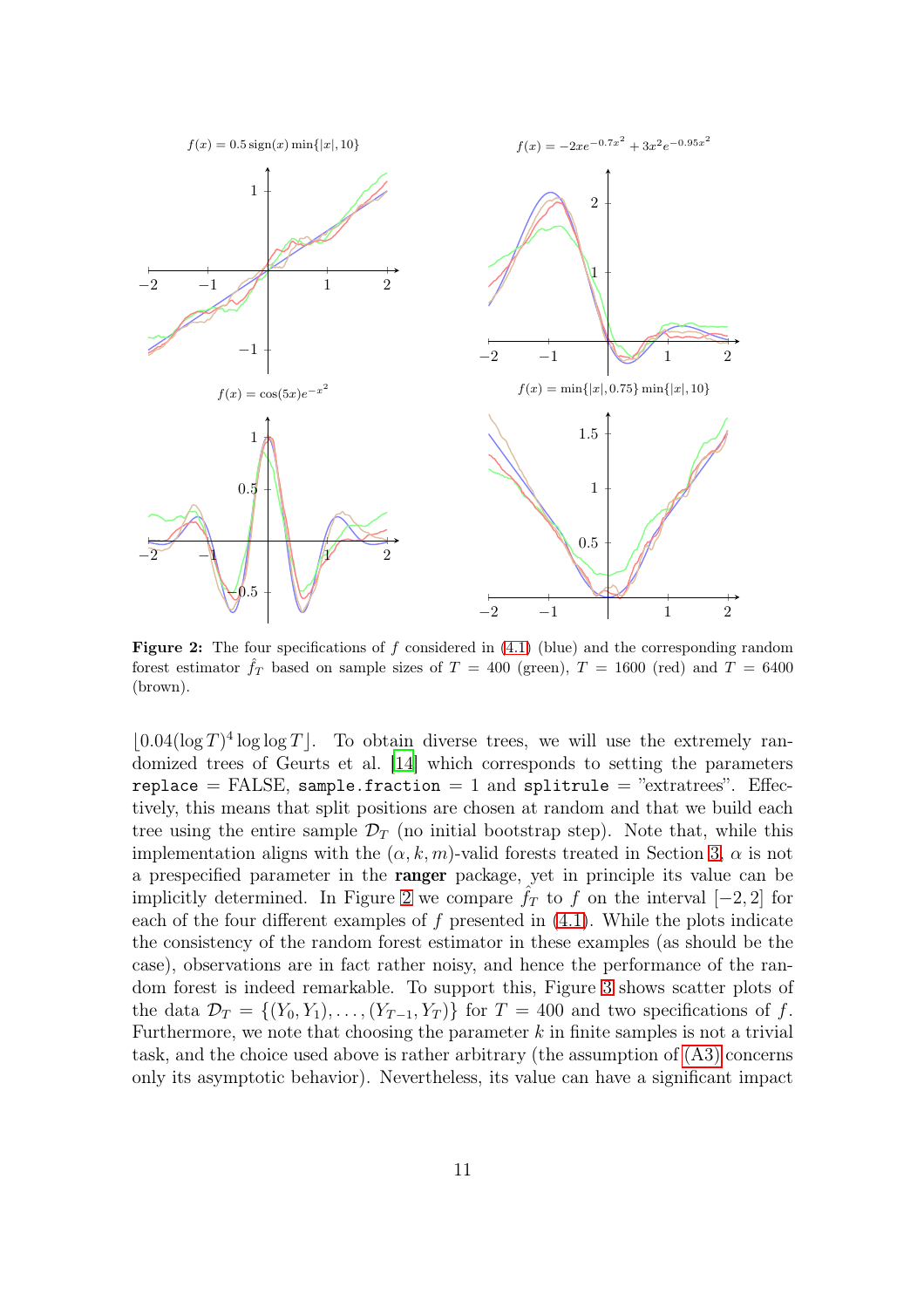<span id="page-10-0"></span>

**Figure 2:** The four specifications of f considered in  $(4.1)$  (blue) and the corresponding random forest estimator  $\hat{f}_T$  based on sample sizes of  $T = 400$  (green),  $T = 1600$  (red) and  $T = 6400$ (brown).

 $\lfloor 0.04(\log T)^4 \log \log T \rfloor$ . To obtain diverse trees, we will use the extremely randomized trees of Geurts et al. [\[14](#page-27-7)] which corresponds to setting the parameters replace  $=$  FALSE, sample.fraction  $=$  1 and splitrule  $=$  "extratrees". Effectively, this means that split positions are chosen at random and that we build each tree using the entire sample  $\mathcal{D}_T$  (no initial bootstrap step). Note that, while this implementation aligns with the  $(\alpha, k, m)$ -valid forests treated in Section [3,](#page-6-0)  $\alpha$  is not a prespecified parameter in the ranger package, yet in principle its value can be implicitly determined. In Figure [2](#page-10-0) we compare  $f<sub>T</sub>$  to f on the interval [−2, 2] for each of the four different examples of  $f$  presented in  $(4.1)$ . While the plots indicate the consistency of the random forest estimator in these examples (as should be the case), observations are in fact rather noisy, and hence the performance of the random forest is indeed remarkable. To support this, Figure [3](#page-11-0) shows scatter plots of the data  $\mathcal{D}_T = \{(Y_0, Y_1), \ldots, (Y_{T-1}, Y_T)\}\$ for  $T = 400$  and two specifications of f. Furthermore, we note that choosing the parameter  $k$  in finite samples is not a trivial task, and the choice used above is rather arbitrary (the assumption of [\(A3\)](#page-4-2) concerns only its asymptotic behavior). Nevertheless, its value can have a significant impact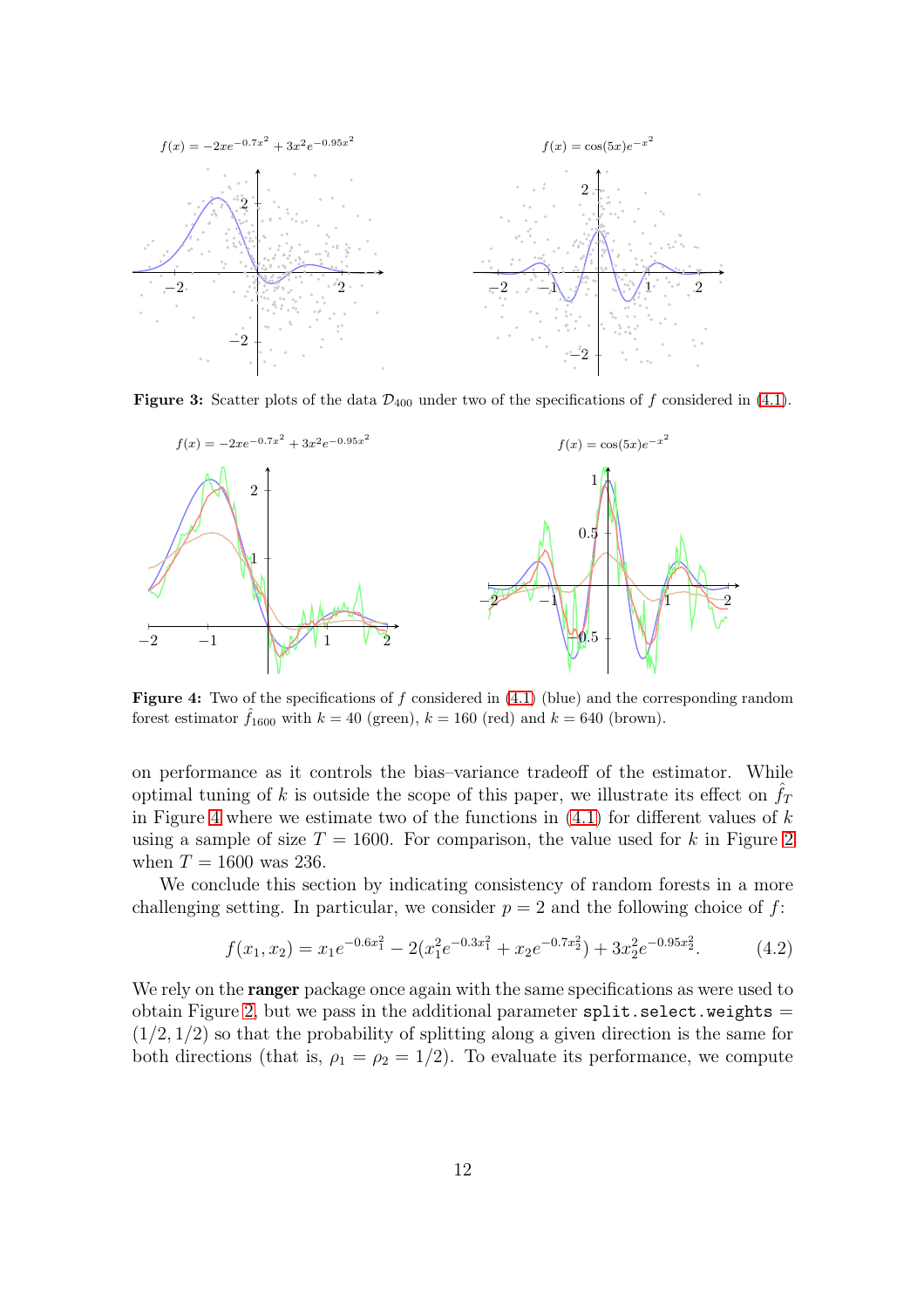<span id="page-11-0"></span>

<span id="page-11-1"></span>**Figure 3:** Scatter plots of the data  $\mathcal{D}_{400}$  under two of the specifications of f considered in [\(4.1\)](#page-9-0).



**Figure 4:** Two of the specifications of f considered in  $(4.1)$  (blue) and the corresponding random forest estimator  $\hat{f}_{1600}$  with  $k = 40$  (green),  $k = 160$  (red) and  $k = 640$  (brown).

on performance as it controls the bias–variance tradeoff of the estimator. While optimal tuning of k is outside the scope of this paper, we illustrate its effect on  $f<sub>T</sub>$ in Figure [4](#page-11-1) where we estimate two of the functions in  $(4.1)$  for different values of k using a sample of size  $T = 1600$ . For comparison, the value used for k in Figure [2](#page-10-0) when  $T = 1600$  was 236.

We conclude this section by indicating consistency of random forests in a more challenging setting. In particular, we consider  $p = 2$  and the following choice of f:

<span id="page-11-2"></span>
$$
f(x_1, x_2) = x_1 e^{-0.6x_1^2} - 2(x_1^2 e^{-0.3x_1^2} + x_2 e^{-0.7x_2^2}) + 3x_2^2 e^{-0.95x_2^2}.
$$
 (4.2)

We rely on the **ranger** package once again with the same specifications as were used to obtain Figure [2,](#page-10-0) but we pass in the additional parameter  $split.setect.weights =$  $(1/2, 1/2)$  so that the probability of splitting along a given direction is the same for both directions (that is,  $\rho_1 = \rho_2 = 1/2$ ). To evaluate its performance, we compute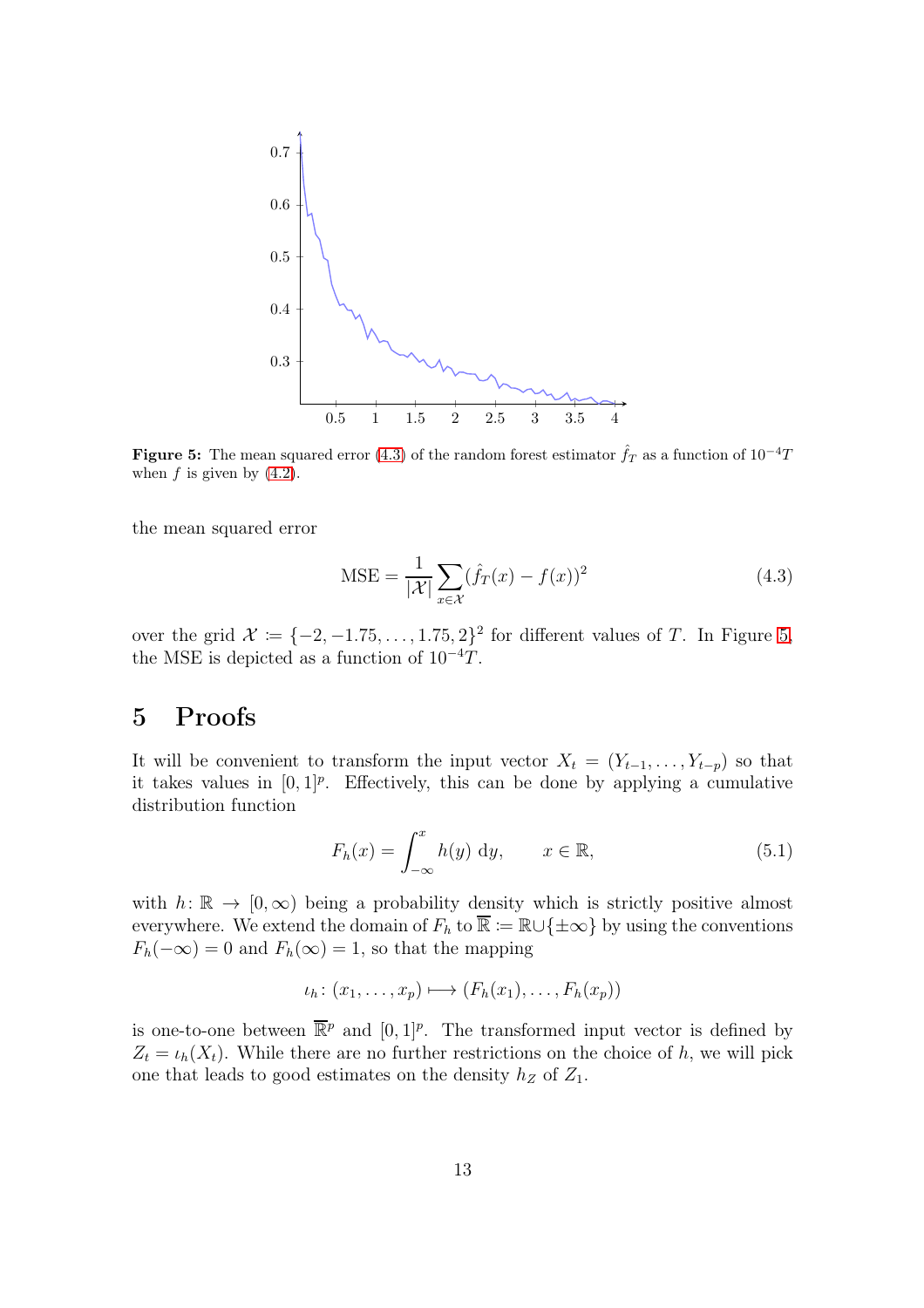<span id="page-12-2"></span>

**Figure 5:** The mean squared error [\(4.3\)](#page-12-1) of the random forest estimator  $\hat{f}_T$  as a function of  $10^{-4}T$ when  $f$  is given by  $(4.2)$ .

the mean squared error

<span id="page-12-1"></span>
$$
\text{MSE} = \frac{1}{|\mathcal{X}|} \sum_{x \in \mathcal{X}} (\hat{f}_T(x) - f(x))^2 \tag{4.3}
$$

over the grid  $\mathcal{X} := \{-2, -1.75, \ldots, 1.75, 2\}^2$  for different values of T. In Figure [5,](#page-12-2) the MSE is depicted as a function of  $10^{-4}T$ .

### <span id="page-12-0"></span>5 Proofs

It will be convenient to transform the input vector  $X_t = (Y_{t-1}, \ldots, Y_{t-p})$  so that it takes values in  $[0, 1]^p$ . Effectively, this can be done by applying a cumulative distribution function

<span id="page-12-3"></span>
$$
F_h(x) = \int_{-\infty}^x h(y) \, dy, \qquad x \in \mathbb{R}, \tag{5.1}
$$

with  $h: \mathbb{R} \to [0, \infty)$  being a probability density which is strictly positive almost everywhere. We extend the domain of  $F_h$  to  $\overline{\mathbb{R}} := \mathbb{R} \cup {\pm \infty}$  by using the conventions  $F_h(-\infty) = 0$  and  $F_h(\infty) = 1$ , so that the mapping

$$
\iota_h\colon (x_1,\ldots,x_p)\longmapsto (F_h(x_1),\ldots,F_h(x_p))
$$

is one-to-one between  $\overline{\mathbb{R}}^p$  and  $[0,1]^p$ . The transformed input vector is defined by  $Z_t = \iota_h(X_t)$ . While there are no further restrictions on the choice of h, we will pick one that leads to good estimates on the density  $h_Z$  of  $Z_1$ .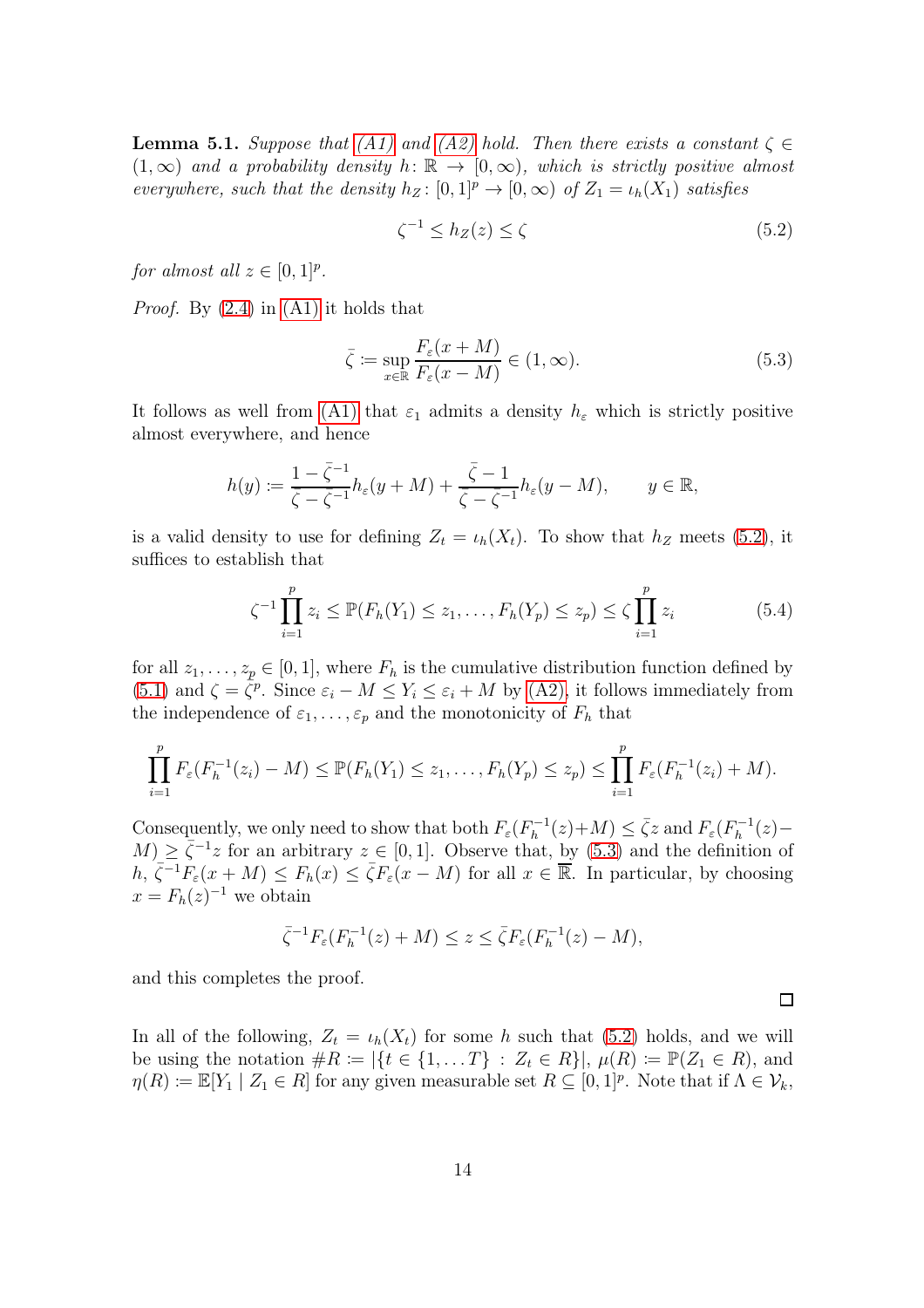<span id="page-13-0"></span>**Lemma 5.1.** Suppose that [\(A1\)](#page-3-1) and [\(A2\)](#page-4-1) hold. Then there exists a constant  $\zeta \in$  $(1,\infty)$  and a probability density  $h: \mathbb{R} \to [0,\infty)$ , which is strictly positive almost everywhere, such that the density  $h_Z : [0,1]^p \to [0,\infty)$  of  $Z_1 = \iota_h(X_1)$  satisfies

<span id="page-13-1"></span>
$$
\zeta^{-1} \le h_Z(z) \le \zeta \tag{5.2}
$$

for almost all  $z \in [0,1]^p$ .

*Proof.* By  $(2.4)$  in  $(A1)$  it holds that

<span id="page-13-2"></span>
$$
\bar{\zeta} := \sup_{x \in \mathbb{R}} \frac{F_{\varepsilon}(x + M)}{F_{\varepsilon}(x - M)} \in (1, \infty). \tag{5.3}
$$

It follows as well from [\(A1\)](#page-3-1) that  $\varepsilon_1$  admits a density  $h_{\varepsilon}$  which is strictly positive almost everywhere, and hence

$$
h(y) := \frac{1 - \bar{\zeta}^{-1}}{\bar{\zeta} - \bar{\zeta}^{-1}} h_{\varepsilon}(y + M) + \frac{\bar{\zeta} - 1}{\bar{\zeta} - \bar{\zeta}^{-1}} h_{\varepsilon}(y - M), \qquad y \in \mathbb{R},
$$

is a valid density to use for defining  $Z_t = \iota_h(X_t)$ . To show that  $h_Z$  meets [\(5.2\)](#page-13-1), it suffices to establish that

$$
\zeta^{-1} \prod_{i=1}^{p} z_i \le \mathbb{P}(F_h(Y_1) \le z_1, \dots, F_h(Y_p) \le z_p) \le \zeta \prod_{i=1}^{p} z_i
$$
 (5.4)

for all  $z_1, \ldots, z_p \in [0, 1]$ , where  $F_h$  is the cumulative distribution function defined by [\(5.1\)](#page-12-3) and  $\zeta = \overline{\zeta}^p$ . Since  $\varepsilon_i - M \le Y_i \le \varepsilon_i + M$  by [\(A2\),](#page-4-1) it follows immediately from the independence of  $\varepsilon_1, \ldots, \varepsilon_p$  and the monotonicity of  $F_h$  that

$$
\prod_{i=1}^p F_{\varepsilon}(F_h^{-1}(z_i) - M) \leq \mathbb{P}(F_h(Y_1) \leq z_1, \dots, F_h(Y_p) \leq z_p) \leq \prod_{i=1}^p F_{\varepsilon}(F_h^{-1}(z_i) + M).
$$

Consequently, we only need to show that both  $F_{\varepsilon}(F_h^{-1})$  $F_h^{-1}(z)+M) \leq \bar{\zeta}z$  and  $F_{\varepsilon}(F_h^{-1})$  $h^{-1}(z)$  –  $M$ )  $\geq \overline{\zeta}^{-1}z$  for an arbitrary  $z \in [0, 1]$ . Observe that, by [\(5.3\)](#page-13-2) and the definition of  $h, \overline{\zeta^{-1}}F_{\varepsilon}(x+M) \leq F_h(x) \leq \overline{\zeta}F_{\varepsilon}(x-M)$  for all  $x \in \overline{\mathbb{R}}$ . In particular, by choosing  $x = F_h(z)^{-1}$  we obtain

$$
\overline{\zeta}^{-1}F_{\varepsilon}(F_h^{-1}(z)+M)\leq z\leq \overline{\zeta}F_{\varepsilon}(F_h^{-1}(z)-M),
$$

and this completes the proof.

In all of the following,  $Z_t = \iota_h(X_t)$  for some h such that [\(5.2\)](#page-13-1) holds, and we will be using the notation  $\#R := |\{t \in \{1, ..., T\} : Z_t \in R\}|, \mu(R) := \mathbb{P}(Z_1 \in R),$  and  $\eta(R) := \mathbb{E}[Y_1 \mid Z_1 \in R]$  for any given measurable set  $R \subseteq [0,1]^p$ . Note that if  $\Lambda \in \mathcal{V}_k$ ,

 $\Box$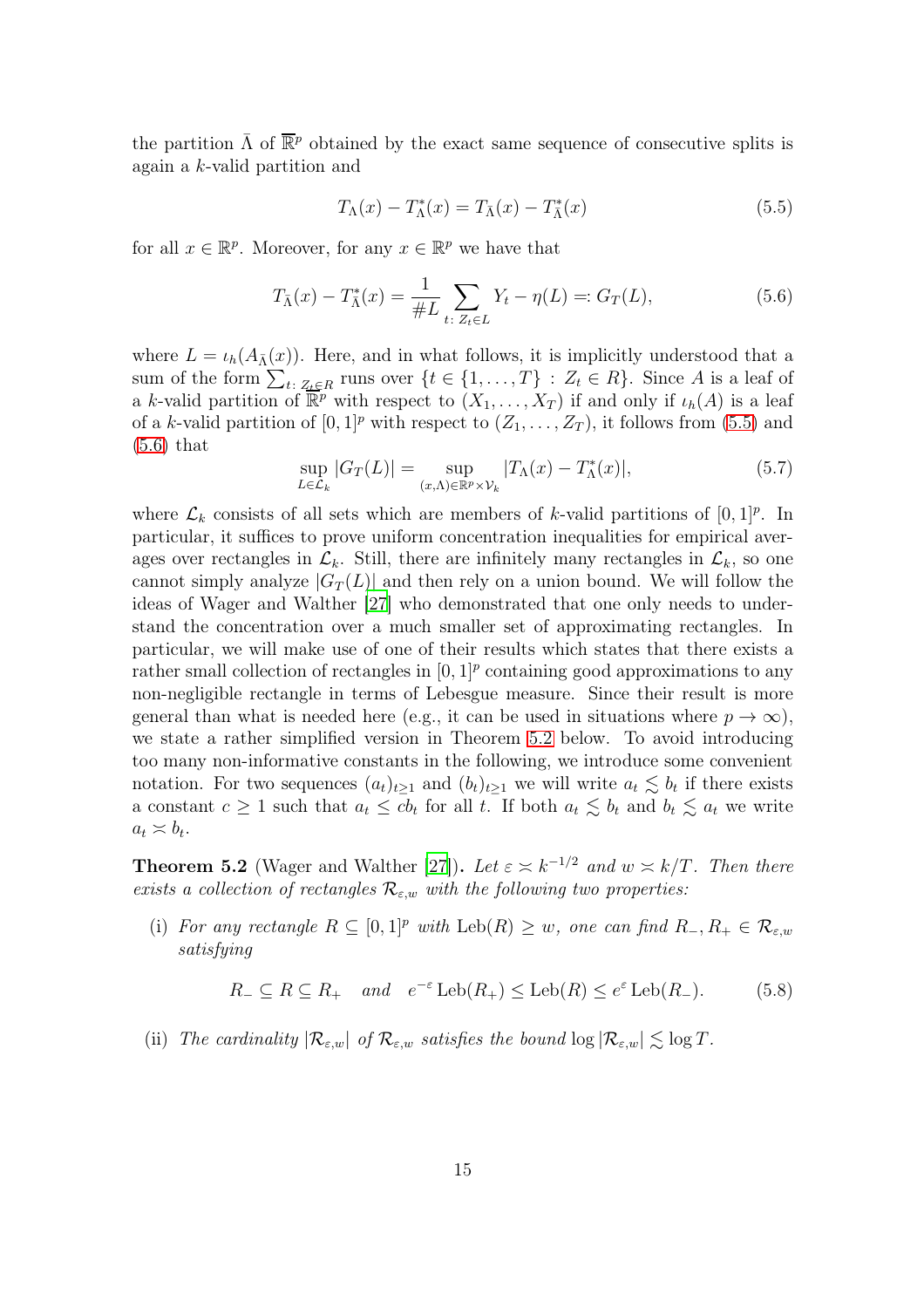the partition  $\bar{\Lambda}$  of  $\bar{\mathbb{R}}^p$  obtained by the exact same sequence of consecutive splits is again a k-valid partition and

<span id="page-14-0"></span>
$$
T_{\Lambda}(x) - T_{\Lambda}^*(x) = T_{\overline{\Lambda}}(x) - T_{\overline{\Lambda}}^*(x)
$$
\n(5.5)

for all  $x \in \mathbb{R}^p$ . Moreover, for any  $x \in \mathbb{R}^p$  we have that

<span id="page-14-1"></span>
$$
T_{\bar{\Lambda}}(x) - T_{\bar{\Lambda}}^*(x) = \frac{1}{\#L} \sum_{t \colon Z_t \in L} Y_t - \eta(L) =: G_T(L), \tag{5.6}
$$

where  $L = \iota_h(A_{\bar{\Lambda}}(x))$ . Here, and in what follows, it is implicitly understood that a sum of the form  $\sum_{t: Z_t \in R}$  runs over  $\{t \in \{1, ..., T\} : Z_t \in R\}$ . Since A is a leaf of a k-valid partition of  $\overline{\mathbb{R}^p}$  with respect to  $(X_1, \ldots, X_T)$  if and only if  $\iota_h(A)$  is a leaf of a k-valid partition of  $[0, 1]^p$  with respect to  $(Z_1, \ldots, Z_T)$ , it follows from  $(5.5)$  and [\(5.6\)](#page-14-1) that

<span id="page-14-4"></span>
$$
\sup_{L \in \mathcal{L}_k} |G_T(L)| = \sup_{(x,\Lambda) \in \mathbb{R}^p \times \mathcal{V}_k} |T_\Lambda(x) - T_\Lambda^*(x)|,\tag{5.7}
$$

where  $\mathcal{L}_k$  consists of all sets which are members of k-valid partitions of  $[0, 1]^p$ . In particular, it suffices to prove uniform concentration inequalities for empirical averages over rectangles in  $\mathcal{L}_k$ . Still, there are infinitely many rectangles in  $\mathcal{L}_k$ , so one cannot simply analyze  $|G_T(L)|$  and then rely on a union bound. We will follow the ideas of Wager and Walther [\[27](#page-28-5)] who demonstrated that one only needs to understand the concentration over a much smaller set of approximating rectangles. In particular, we will make use of one of their results which states that there exists a rather small collection of rectangles in  $[0,1]^p$  containing good approximations to any non-negligible rectangle in terms of Lebesgue measure. Since their result is more general than what is needed here (e.g., it can be used in situations where  $p \to \infty$ ), we state a rather simplified version in Theorem [5.2](#page-14-2) below. To avoid introducing too many non-informative constants in the following, we introduce some convenient notation. For two sequences  $(a_t)_{t\geq 1}$  and  $(b_t)_{t\geq 1}$  we will write  $a_t \lesssim b_t$  if there exists a constant  $c \geq 1$  such that  $a_t \leq cb_t$  for all t. If both  $a_t \lesssim b_t$  and  $b_t \lesssim a_t$  we write  $a_t \approx b_t.$ 

<span id="page-14-2"></span>**Theorem 5.2** (Wager and Walther [\[27\]](#page-28-5)). Let  $\varepsilon \geq k^{-1/2}$  and  $w \geq k/T$ . Then there exists a collection of rectangles  $\mathcal{R}_{\varepsilon,w}$  with the following two properties:

(i) For any rectangle  $R \subseteq [0,1]^p$  with  $\text{Leb}(R) \geq w$ , one can find  $R_-, R_+ \in \mathcal{R}_{\varepsilon,w}$ satisfying

<span id="page-14-3"></span>
$$
R_- \subseteq R \subseteq R_+ \quad and \quad e^{-\varepsilon} \operatorname{Leb}(R_+) \le \operatorname{Leb}(R) \le e^{\varepsilon} \operatorname{Leb}(R_-). \tag{5.8}
$$

<span id="page-14-5"></span>(ii) The cardinality  $|\mathcal{R}_{\varepsilon,w}|$  of  $\mathcal{R}_{\varepsilon,w}$  satisfies the bound  $\log |\mathcal{R}_{\varepsilon,w}| \lesssim \log T$ .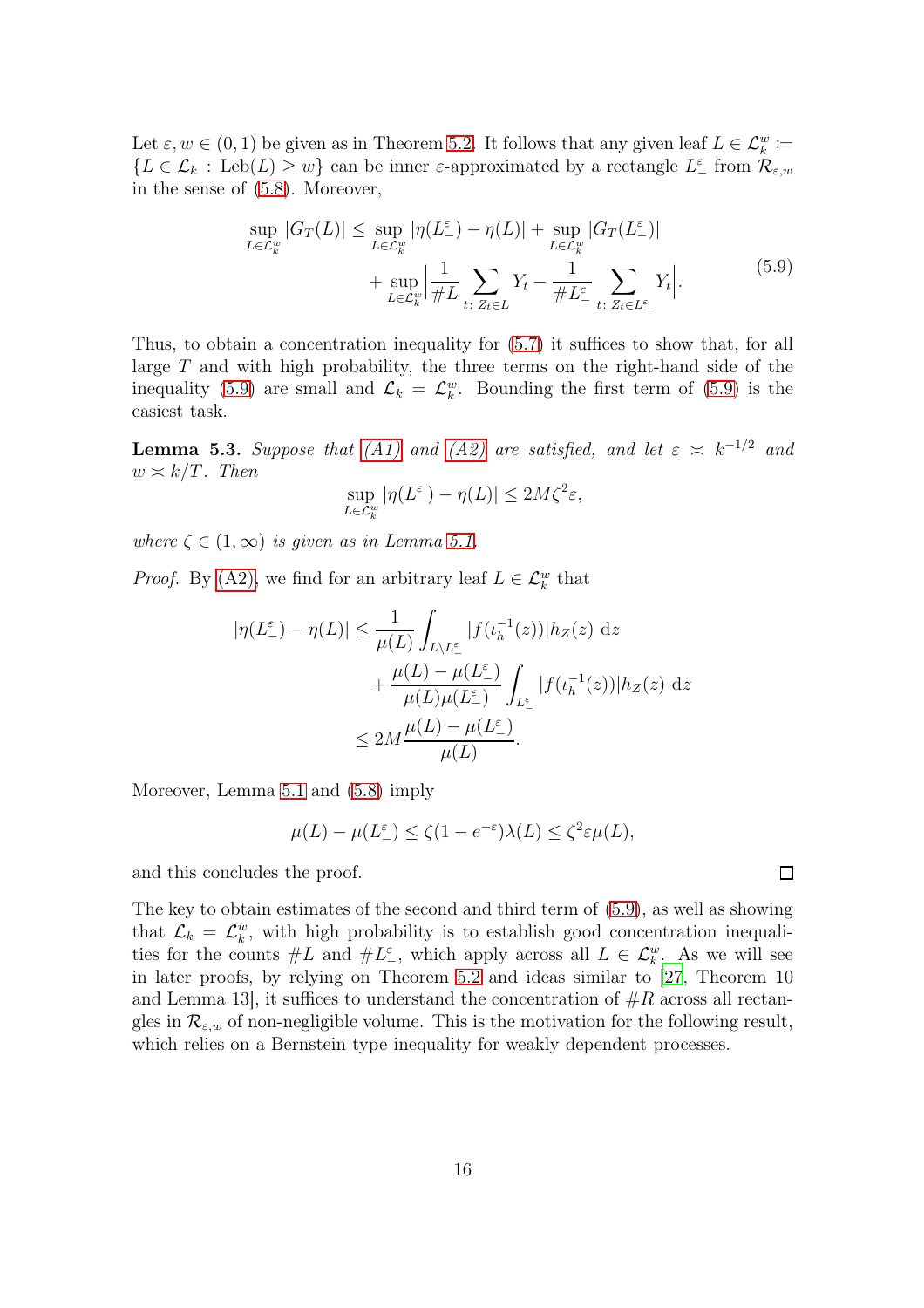Let  $\varepsilon, w \in (0, 1)$  be given as in Theorem [5.2.](#page-14-2) It follows that any given leaf  $L \in \mathcal{L}_{k}^{w} :=$  ${L \in \mathcal{L}_k : \text{Leb}(L) \geq w}$  can be inner  $\varepsilon$ -approximated by a rectangle  $L^{\varepsilon}$  from  $\mathcal{R}_{\varepsilon,w}$ in the sense of [\(5.8\)](#page-14-3). Moreover,

$$
\sup_{L \in \mathcal{L}_k^w} |G_T(L)| \le \sup_{L \in \mathcal{L}_k^w} |\eta(L^{\varepsilon}) - \eta(L)| + \sup_{L \in \mathcal{L}_k^w} |G_T(L^{\varepsilon})| + \sup_{L \in \mathcal{L}_k^w} \left| \frac{1}{\#L} \sum_{t: Z_t \in L} Y_t - \frac{1}{\#L^{\varepsilon}} \sum_{t: Z_t \in L^{\varepsilon}} Y_t \right|.
$$
\n
$$
(5.9)
$$

Thus, to obtain a concentration inequality for [\(5.7\)](#page-14-4) it suffices to show that, for all large  $T$  and with high probability, the three terms on the right-hand side of the inequality [\(5.9\)](#page-15-0) are small and  $\mathcal{L}_k = \mathcal{L}_k^w$ . Bounding the first term of (5.9) is the easiest task.

<span id="page-15-1"></span>**Lemma 5.3.** Suppose that [\(A1\)](#page-3-1) and [\(A2\)](#page-4-1) are satisfied, and let  $\varepsilon \approx k^{-1/2}$  and  $w \asymp k/T$ . Then

<span id="page-15-0"></span>
$$
\sup_{L\in\mathcal{L}_k^w}|\eta(L_-^\varepsilon)-\eta(L)|\leq 2M\zeta^2\varepsilon,
$$

where  $\zeta \in (1,\infty)$  is given as in Lemma [5.1.](#page-13-0)

*Proof.* By [\(A2\),](#page-4-1) we find for an arbitrary leaf  $L \in \mathcal{L}_{k}^{w}$  that

$$
|\eta(L_{-}^{\varepsilon}) - \eta(L)| \leq \frac{1}{\mu(L)} \int_{L \setminus L_{-}^{\varepsilon}} |f(\iota_{h}^{-1}(z))| h_{Z}(z) dz
$$
  
+ 
$$
\frac{\mu(L) - \mu(L_{-}^{\varepsilon})}{\mu(L)\mu(L_{-}^{\varepsilon})} \int_{L_{-}^{\varepsilon}} |f(\iota_{h}^{-1}(z))| h_{Z}(z) dz
$$
  

$$
\leq 2M \frac{\mu(L) - \mu(L_{-}^{\varepsilon})}{\mu(L)}.
$$

Moreover, Lemma [5.1](#page-13-0) and [\(5.8\)](#page-14-3) imply

$$
\mu(L) - \mu(L^{\varepsilon}) \le \zeta(1 - e^{-\varepsilon})\lambda(L) \le \zeta^2 \varepsilon \mu(L),
$$

and this concludes the proof.

The key to obtain estimates of the second and third term of [\(5.9\)](#page-15-0), as well as showing that  $\mathcal{L}_k = \mathcal{L}_k^w$ , with high probability is to establish good concentration inequalities for the counts  $\#L$  and  $\#L^{\varepsilon}$ , which apply across all  $L \in \mathcal{L}_{k}^{w}$ . As we will see in later proofs, by relying on Theorem [5.2](#page-14-2) and ideas similar to [\[27,](#page-28-5) Theorem 10 and Lemma 13, it suffices to understand the concentration of  $\#R$  across all rectangles in  $\mathcal{R}_{\varepsilon,w}$  of non-negligible volume. This is the motivation for the following result, which relies on a Bernstein type inequality for weakly dependent processes.

 $\Box$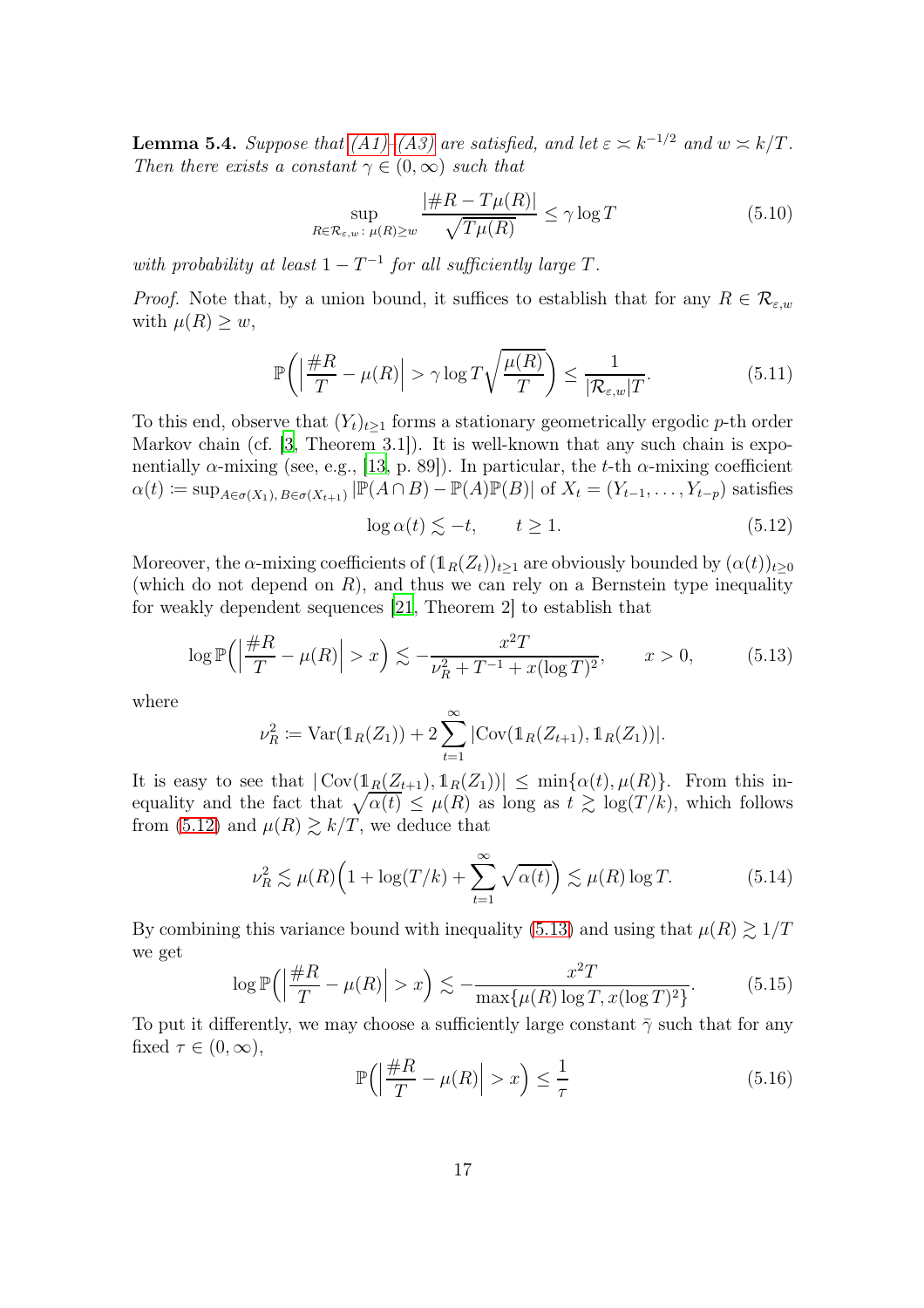<span id="page-16-4"></span>**Lemma 5.4.** Suppose that  $(A1)$ – $(A3)$  are satisfied, and let  $\varepsilon \asymp k^{-1/2}$  and  $w \asymp k/T$ . Then there exists a constant  $\gamma \in (0,\infty)$  such that

<span id="page-16-3"></span>
$$
\sup_{R \in \mathcal{R}_{\varepsilon, w} : \ \mu(R) \ge w} \frac{|\#R - T\mu(R)|}{\sqrt{T\mu(R)}} \le \gamma \log T \tag{5.10}
$$

with probability at least  $1 - T^{-1}$  for all sufficiently large T.

*Proof.* Note that, by a union bound, it suffices to establish that for any  $R \in \mathcal{R}_{\varepsilon,w}$ with  $\mu(R) \geq w$ ,

<span id="page-16-2"></span>
$$
\mathbb{P}\left(\left|\frac{\#R}{T} - \mu(R)\right| > \gamma \log T \sqrt{\frac{\mu(R)}{T}}\right) \le \frac{1}{|\mathcal{R}_{\varepsilon,w}|T}.\tag{5.11}
$$

To this end, observe that  $(Y_t)_{t\geq 1}$  forms a stationary geometrically ergodic p-th order Markov chain (cf. [\[3](#page-27-11), Theorem 3.1]). It is well-known that any such chain is exponentially  $\alpha$ -mixing (see, e.g., [\[13,](#page-27-12) p. 89]). In particular, the t-th  $\alpha$ -mixing coefficient  $\alpha(t) \coloneqq \sup_{A \in \sigma(X_1), B \in \sigma(X_{t+1})} |\overline{\mathbb{P}}(A \cap B) - \mathbb{P}(A) \mathbb{P}(B)| \text{ of } X_t = (Y_{t-1}, \ldots, Y_{t-p}) \text{ satisfies }$ 

<span id="page-16-0"></span>
$$
\log \alpha(t) \lesssim -t, \qquad t \ge 1. \tag{5.12}
$$

Moreover, the  $\alpha$ -mixing coefficients of  $(1_R(Z_t))_{t\geq 1}$  are obviously bounded by  $(\alpha(t))_{t\geq 0}$ (which do not depend on  $R$ ), and thus we can rely on a Bernstein type inequality for weakly dependent sequences [\[21](#page-28-10), Theorem 2] to establish that

<span id="page-16-1"></span>
$$
\log \mathbb{P}\left(\left|\frac{\#R}{T} - \mu(R)\right| > x\right) \lesssim -\frac{x^2 T}{\nu_R^2 + T^{-1} + x(\log T)^2}, \qquad x > 0,\tag{5.13}
$$

where

$$
\nu_R^2 := \text{Var}(\mathbb{1}_R(Z_1)) + 2 \sum_{t=1}^{\infty} |\text{Cov}(\mathbb{1}_R(Z_{t+1}), \mathbb{1}_R(Z_1))|.
$$

It is easy to see that  $|\text{Cov}(\mathbb{1}_R(Z_{t+1}), \mathbb{1}_R(Z_1))| \leq \min{\{\alpha(t), \mu(R)\}}$ . From this inequality and the fact that  $\sqrt{\alpha(t)} \leq \mu(R)$  as long as  $t \geq \log(T/k)$ , which follows from [\(5.12\)](#page-16-0) and  $\mu(R) \gtrsim k/T$ , we deduce that

<span id="page-16-5"></span>
$$
\nu_R^2 \lesssim \mu(R) \Big( 1 + \log(T/k) + \sum_{t=1}^{\infty} \sqrt{\alpha(t)} \Big) \lesssim \mu(R) \log T. \tag{5.14}
$$

By combining this variance bound with inequality [\(5.13\)](#page-16-1) and using that  $\mu(R) \gtrsim 1/T$ we get

<span id="page-16-6"></span>
$$
\log \mathbb{P}\left(\left|\frac{\#R}{T} - \mu(R)\right| > x\right) \lesssim -\frac{x^2 T}{\max\{\mu(R)\log T, x(\log T)^2\}}.\tag{5.15}
$$

To put it differently, we may choose a sufficiently large constant  $\bar{\gamma}$  such that for any fixed  $\tau \in (0, \infty)$ ,

$$
\mathbb{P}\left(\left|\frac{\#R}{T} - \mu(R)\right| > x\right) \le \frac{1}{\tau} \tag{5.16}
$$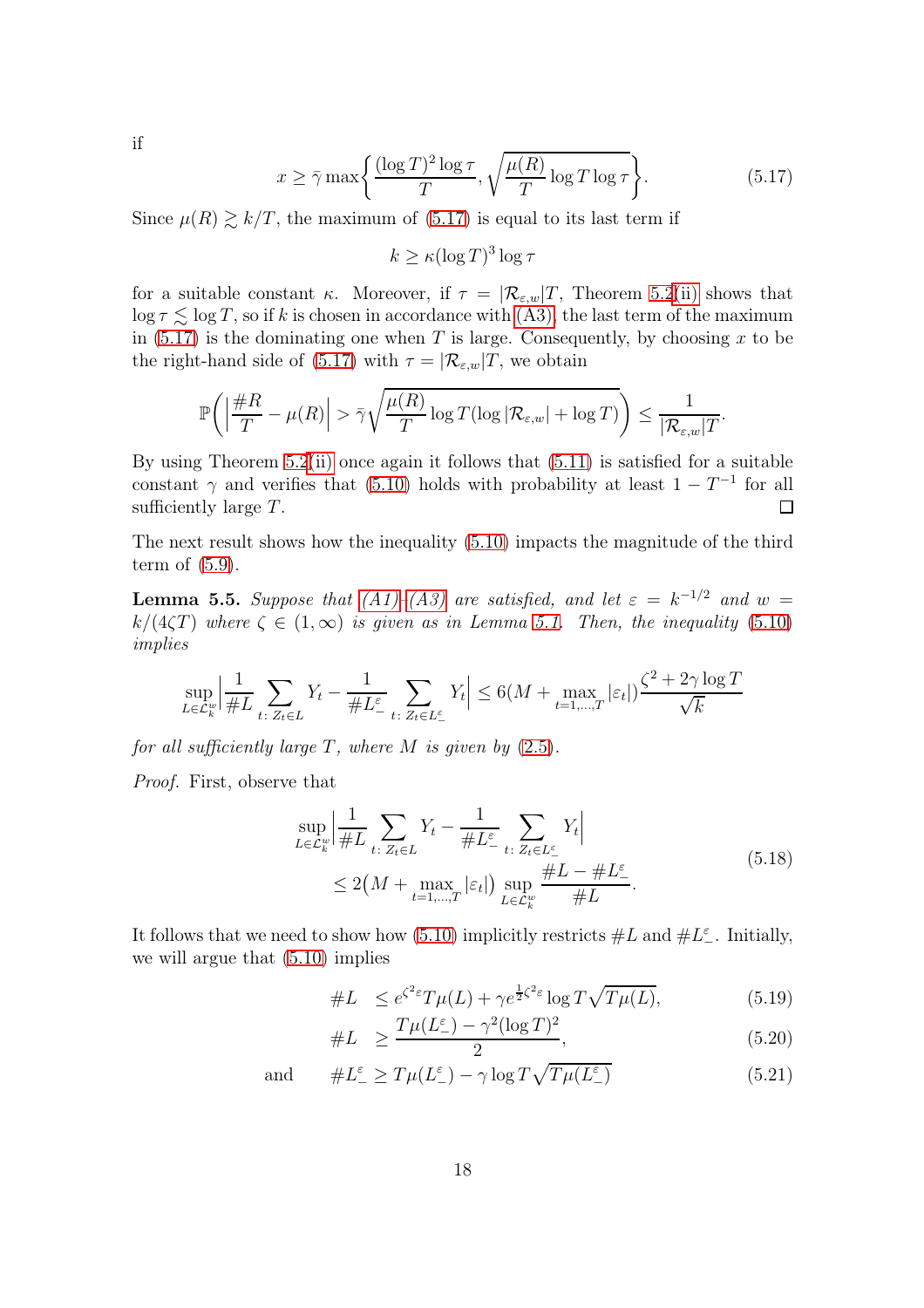if

<span id="page-17-0"></span>
$$
x \ge \bar{\gamma} \max \left\{ \frac{(\log T)^2 \log \tau}{T}, \sqrt{\frac{\mu(R)}{T} \log T \log \tau} \right\}.
$$
 (5.17)

<span id="page-17-4"></span>.

Since  $\mu(R) \gtrsim k/T$ , the maximum of [\(5.17\)](#page-17-0) is equal to its last term if

 $k \ge \kappa (\log T)^3 \log \tau$ 

for a suitable constant κ. Moreover, if  $\tau = |\mathcal{R}_{\varepsilon,w}|T$ , Theorem [5.2](#page-14-2)[\(ii\)](#page-14-5) shows that  $\log \tau \leq \log T$ , so if k is chosen in accordance with [\(A3\),](#page-4-2) the last term of the maximum in [\(5.17\)](#page-17-0) is the dominating one when T is large. Consequently, by choosing x to be the right-hand side of [\(5.17\)](#page-17-0) with  $\tau = |\mathcal{R}_{\varepsilon,w}|T$ , we obtain

$$
\mathbb{P}\bigg(\Big|\frac{\#R}{T} - \mu(R)\Big| > \bar{\gamma} \sqrt{\frac{\mu(R)}{T} \log T (\log |\mathcal{R}_{\varepsilon,w}| + \log T)}\bigg) \leq \frac{1}{|\mathcal{R}_{\varepsilon,w}|T}
$$

By using Theorem  $5.2(ii)$  $5.2(ii)$  once again it follows that  $(5.11)$  is satisfied for a suitable constant  $\gamma$  and verifies that [\(5.10\)](#page-16-3) holds with probability at least  $1 - T^{-1}$  for all sufficiently large T.  $\Box$ 

The next result shows how the inequality [\(5.10\)](#page-16-3) impacts the magnitude of the third term of [\(5.9\)](#page-15-0).

<span id="page-17-5"></span>**Lemma 5.5.** Suppose that  $(A1)$ - $(A3)$  are satisfied, and let  $\varepsilon = k^{-1/2}$  and  $w =$  $k/(4\zeta T)$  where  $\zeta \in (1,\infty)$  is given as in Lemma [5.1.](#page-13-0) Then, the inequality [\(5.10\)](#page-16-3) implies

$$
\sup_{L\in\mathcal{L}_k^w} \left| \frac{1}{\#L} \sum_{t\colon Z_t\in L} Y_t - \frac{1}{\#L^{\varepsilon}_{-}} \sum_{t\colon Z_t\in L^{\varepsilon}_{-}} Y_t \right| \le 6(M + \max_{t=1,\dots,T} |\varepsilon_t|) \frac{\zeta^2 + 2\gamma \log T}{\sqrt{k}}
$$

for all sufficiently large  $T$ , where  $M$  is given by  $(2.5)$ .

Proof. First, observe that

$$
\sup_{L \in \mathcal{L}_k^w} \left| \frac{1}{\#L} \sum_{t \colon Z_t \in L} Y_t - \frac{1}{\#L^{\varepsilon}} \sum_{t \colon Z_t \in L^{\varepsilon}} Y_t \right|
$$
\n
$$
\leq 2\left(M + \max_{t=1,\dots,T} |\varepsilon_t|\right) \sup_{L \in \mathcal{L}_k^w} \frac{\#L - \#L^{\varepsilon}}{\#L}.
$$
\n
$$
(5.18)
$$

It follows that we need to show how [\(5.10\)](#page-16-3) implicitly restricts  $\#L$  and  $\#L_{-}^{\varepsilon}$ . Initially, we will argue that [\(5.10\)](#page-16-3) implies

<span id="page-17-1"></span>
$$
\#L \le e^{\zeta^2 \varepsilon} T\mu(L) + \gamma e^{\frac{1}{2}\zeta^2 \varepsilon} \log T\sqrt{T\mu(L)},
$$
\n
$$
T\mu(L^{\varepsilon}) = \gamma^2 (\log T)^2
$$
\n(5.19)

<span id="page-17-3"></span><span id="page-17-2"></span>
$$
\#L \ge \frac{T\mu(L_-^{\varepsilon}) - \gamma^2 (\log T)^2}{2},\tag{5.20}
$$

an

$$
\text{ad} \qquad \#L^{\varepsilon} \ge T\mu(L^{\varepsilon}) - \gamma \log T\sqrt{T\mu(L^{\varepsilon})} \tag{5.21}
$$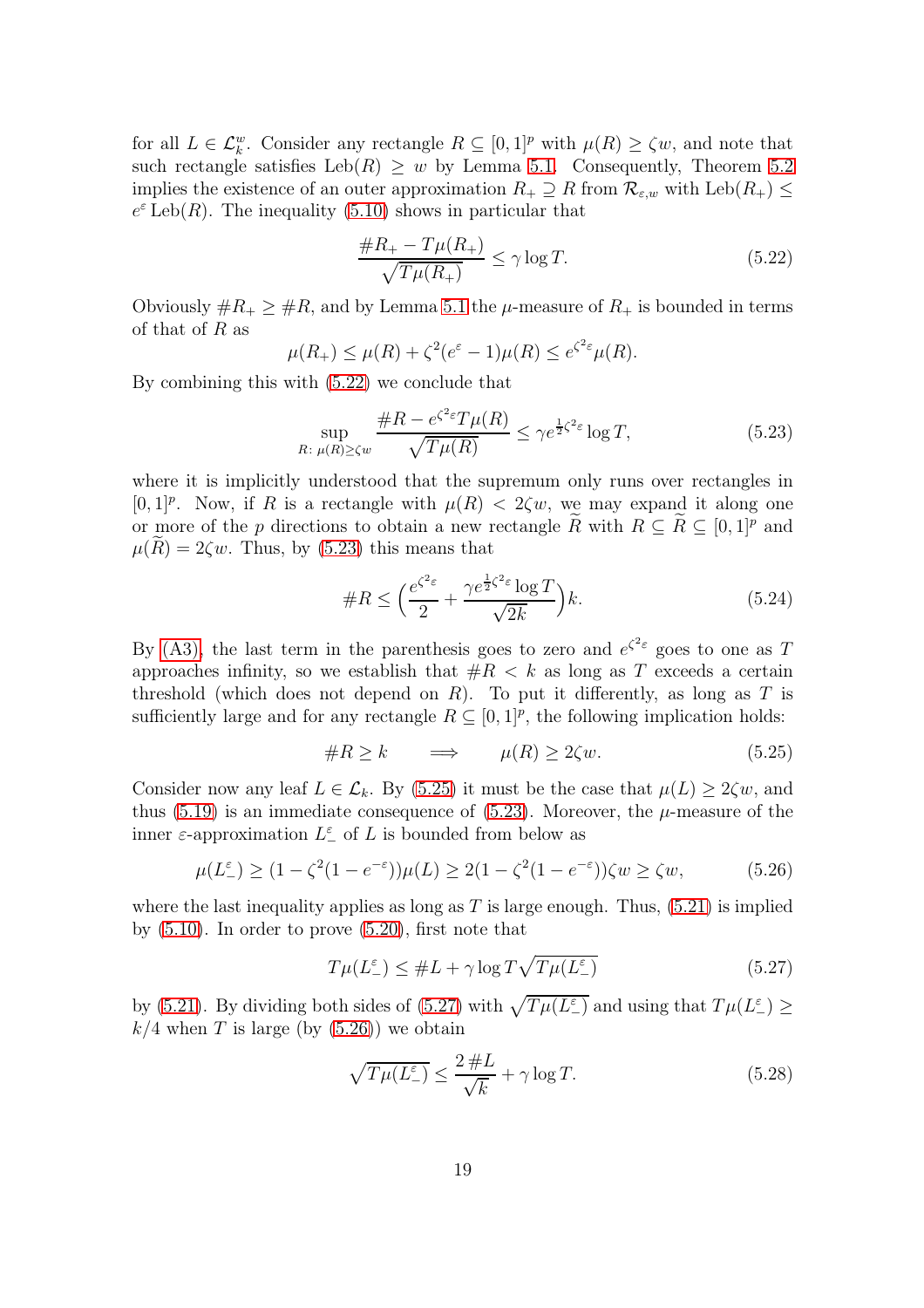for all  $L \in \mathcal{L}_{k}^{w}$ . Consider any rectangle  $R \subseteq [0,1]^{p}$  with  $\mu(R) \geq \zeta w$ , and note that such rectangle satisfies Leb(R)  $\geq w$  by Lemma [5.1.](#page-13-0) Consequently, Theorem [5.2](#page-14-2) implies the existence of an outer approximation  $R_+ \supseteq R$  from  $\mathcal{R}_{\varepsilon,w}$  with  $\text{Leb}(R_+) \leq$  $e^{\varepsilon}$  Leb(R). The inequality [\(5.10\)](#page-16-3) shows in particular that

<span id="page-18-0"></span>
$$
\frac{\#R_+ - T\mu(R_+)}{\sqrt{T\mu(R_+)}} \le \gamma \log T. \tag{5.22}
$$

Obviously  $\#R_+ \geq \#R$ , and by Lemma [5.1](#page-13-0) the  $\mu$ -measure of  $R_+$  is bounded in terms of that of  $R$  as

$$
\mu(R_+) \le \mu(R) + \zeta^2 (e^{\varepsilon} - 1)\mu(R) \le e^{\zeta^2 \varepsilon} \mu(R).
$$

By combining this with [\(5.22\)](#page-18-0) we conclude that

<span id="page-18-1"></span>
$$
\sup_{R:\ \mu(R)\ge\zeta w} \frac{\#R - e^{\zeta^2 \varepsilon} T\mu(R)}{\sqrt{T\mu(R)}} \le\gamma e^{\frac{1}{2}\zeta^2 \varepsilon} \log T,\tag{5.23}
$$

where it is implicitly understood that the supremum only runs over rectangles in [0, 1]<sup>p</sup>. Now, if R is a rectangle with  $\mu(R) < 2\zeta w$ , we may expand it along one or more of the p directions to obtain a new rectangle R with  $R \subseteq R \subseteq [0,1]^p$  and  $\mu(R) = 2\zeta w$ . Thus, by [\(5.23\)](#page-18-1) this means that

$$
\#R \le \left(\frac{e^{\zeta^2 \varepsilon}}{2} + \frac{\gamma e^{\frac{1}{2}\zeta^2 \varepsilon} \log T}{\sqrt{2k}}\right)k.
$$
\n(5.24)

By [\(A3\),](#page-4-2) the last term in the parenthesis goes to zero and  $e^{\zeta^2 \varepsilon}$  goes to one as T approaches infinity, so we establish that  $#R < k$  as long as T exceeds a certain threshold (which does not depend on  $R$ ). To put it differently, as long as  $T$  is sufficiently large and for any rectangle  $R \subseteq [0,1]^p$ , the following implication holds:

<span id="page-18-2"></span>
$$
\#R \ge k \qquad \Longrightarrow \qquad \mu(R) \ge 2\zeta w. \tag{5.25}
$$

Consider now any leaf  $L \in \mathcal{L}_k$ . By [\(5.25\)](#page-18-2) it must be the case that  $\mu(L) \geq 2\zeta w$ , and thus [\(5.19\)](#page-17-1) is an immediate consequence of [\(5.23\)](#page-18-1). Moreover, the  $\mu$ -measure of the inner  $\varepsilon$ -approximation  $L^{\varepsilon}$  of L is bounded from below as

<span id="page-18-4"></span>
$$
\mu(L_{-}^{\varepsilon}) \ge (1 - \zeta^2 (1 - e^{-\varepsilon})) \mu(L) \ge 2(1 - \zeta^2 (1 - e^{-\varepsilon})) \zeta w \ge \zeta w,
$$
 (5.26)

where the last inequality applies as long as  $T$  is large enough. Thus,  $(5.21)$  is implied by  $(5.10)$ . In order to prove  $(5.20)$ , first note that

<span id="page-18-3"></span>
$$
T\mu(L_{-}^{\varepsilon}) \leq \#L + \gamma \log T\sqrt{T\mu(L_{-}^{\varepsilon})}
$$
\n(5.27)

by [\(5.21\)](#page-17-2). By dividing both sides of [\(5.27\)](#page-18-3) with  $\sqrt{T \mu(L_{-}^{\varepsilon})}$  and using that  $T \mu(L_{-}^{\varepsilon}) \ge$  $k/4$  when T is large (by  $(5.26)$ ) we obtain

<span id="page-18-5"></span>
$$
\sqrt{T\mu(L_-^{\varepsilon})} \le \frac{2\,\#L}{\sqrt{k}} + \gamma \log T. \tag{5.28}
$$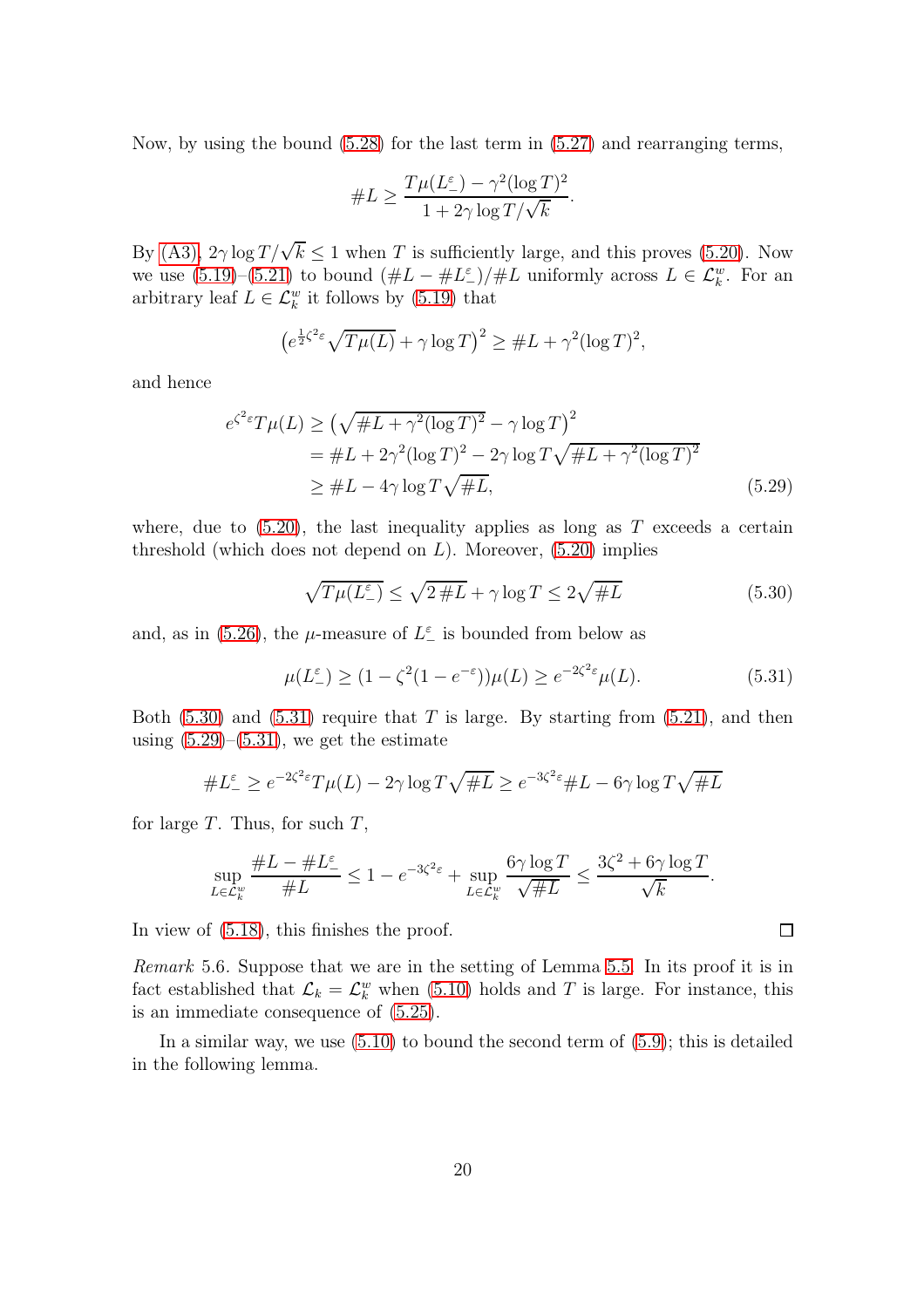Now, by using the bound [\(5.28\)](#page-18-5) for the last term in [\(5.27\)](#page-18-3) and rearranging terms,

#L ≥ T µ(L ε <sup>−</sup>) − γ 2 (log T) 2 1 + 2<sup>γ</sup> log T/<sup>√</sup> k .

By [\(A3\),](#page-4-2)  $2\gamma \log T/\sqrt{k} \le 1$  when T is sufficiently large, and this proves [\(5.20\)](#page-17-3). Now we use  $(5.19)$ – $(5.21)$  to bound  $(\#L - \#L^{\epsilon})/\#L$  uniformly across  $L \in \mathcal{L}_{k}^{w}$ . For an arbitrary leaf  $L \in \mathcal{L}_k^w$  it follows by [\(5.19\)](#page-17-1) that

$$
\left(e^{\frac{1}{2}\zeta^2 \varepsilon} \sqrt{T\mu(L)} + \gamma \log T\right)^2 \geq \#L + \gamma^2 (\log T)^2,
$$

and hence

$$
e^{\zeta^2 \varepsilon} T\mu(L) \ge \left(\sqrt{\#L + \gamma^2 (\log T)^2} - \gamma \log T\right)^2
$$
  
= 
$$
\#L + 2\gamma^2 (\log T)^2 - 2\gamma \log T \sqrt{\#L + \gamma^2 (\log T)^2}
$$
  

$$
\ge \#L - 4\gamma \log T \sqrt{\#L},
$$
 (5.29)

where, due to  $(5.20)$ , the last inequality applies as long as T exceeds a certain threshold (which does not depend on  $L$ ). Moreover,  $(5.20)$  implies

<span id="page-19-0"></span>
$$
\sqrt{T\mu(L_-^{\varepsilon})} \le \sqrt{2\#L} + \gamma \log T \le 2\sqrt{\#L}
$$
\n(5.30)

and, as in [\(5.26\)](#page-18-4), the  $\mu$ -measure of  $L_{-}^{\varepsilon}$  is bounded from below as

<span id="page-19-1"></span>
$$
\mu(L_{-}^{\varepsilon}) \ge (1 - \zeta^2 (1 - e^{-\varepsilon})) \mu(L) \ge e^{-2\zeta^2 \varepsilon} \mu(L). \tag{5.31}
$$

Both  $(5.30)$  and  $(5.31)$  require that T is large. By starting from  $(5.21)$ , and then using  $(5.29)$ – $(5.31)$ , we get the estimate

$$
\#L^{\varepsilon} \ge e^{-2\zeta^2 \varepsilon} T\mu(L) - 2\gamma \log T\sqrt{\#L} \ge e^{-3\zeta^2 \varepsilon} \#L - 6\gamma \log T\sqrt{\#L}
$$

for large  $T$ . Thus, for such  $T$ ,

$$
\sup_{L\in\mathcal{L}_k^w}\frac{\#L-\#L^\varepsilon_-}{\#L}\leq 1-e^{-3\zeta^2\varepsilon}+\sup_{L\in\mathcal{L}_k^w}\frac{6\gamma\log T}{\sqrt{\#L}}\leq \frac{3\zeta^2+6\gamma\log T}{\sqrt{k}}.
$$

In view of [\(5.18\)](#page-17-4), this finishes the proof.

<span id="page-19-3"></span>Remark 5.6. Suppose that we are in the setting of Lemma [5.5.](#page-17-5) In its proof it is in fact established that  $\mathcal{L}_k = \mathcal{L}_k^w$  when [\(5.10\)](#page-16-3) holds and T is large. For instance, this is an immediate consequence of [\(5.25\)](#page-18-2).

In a similar way, we use  $(5.10)$  to bound the second term of  $(5.9)$ ; this is detailed in the following lemma.

<span id="page-19-2"></span> $\Box$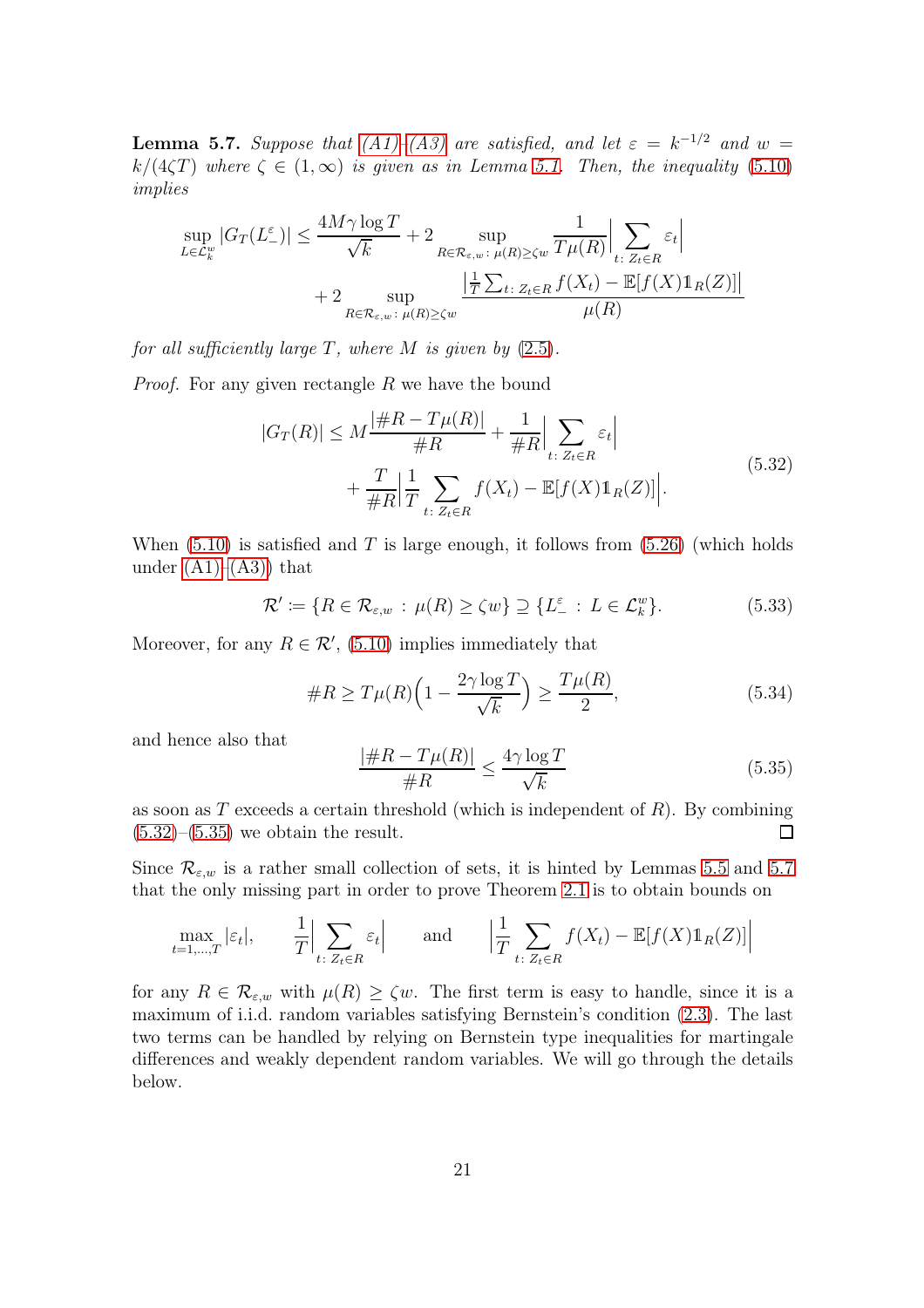<span id="page-20-2"></span>**Lemma 5.7.** Suppose that  $(A1)$ - $(A3)$  are satisfied, and let  $\varepsilon = k^{-1/2}$  and  $w =$ k/(4 $(T)$ ) where  $\zeta \in (1,\infty)$  is given as in Lemma [5.1.](#page-13-0) Then, the inequality [\(5.10\)](#page-16-3) implies

$$
\sup_{L \in \mathcal{L}_k^w} |G_T(L^{\varepsilon})| \le \frac{4M\gamma \log T}{\sqrt{k}} + 2 \sup_{R \in \mathcal{R}_{\varepsilon,w}:\ \mu(R) \ge \zeta w} \frac{1}{T\mu(R)} \Big| \sum_{t:\ Z_t \in R} \varepsilon_t \Big|
$$
  
+ 2 \sup\_{R \in \mathcal{R}\_{\varepsilon,w}:\ \mu(R) \ge \zeta w} \frac{\Big| \frac{1}{T} \sum\_{t:\ Z\_t \in R} f(X\_t) - \mathbb{E}[f(X)\mathbb{1}\_R(Z)] \Big|}{\mu(R)}

for all sufficiently large  $T$ , where  $M$  is given by  $(2.5)$ .

*Proof.* For any given rectangle  $R$  we have the bound

<span id="page-20-0"></span>
$$
|G_T(R)| \le M \frac{|\#R - T\mu(R)|}{\#R} + \frac{1}{\#R} \Big| \sum_{t: \ Z_t \in R} \varepsilon_t \Big|
$$
  
+ 
$$
\frac{T}{\#R} \Big| \frac{1}{T} \sum_{t: \ Z_t \in R} f(X_t) - \mathbb{E}[f(X) \mathbb{1}_R(Z)] \Big|.
$$
 (5.32)

When  $(5.10)$  is satisfied and T is large enough, it follows from  $(5.26)$  (which holds under  $(A1)–(A3)$  that

$$
\mathcal{R}' \coloneqq \{ R \in \mathcal{R}_{\varepsilon,w} : \mu(R) \ge \zeta w \} \supseteq \{ L^{\varepsilon}_- : L \in \mathcal{L}^w_k \}. \tag{5.33}
$$

Moreover, for any  $R \in \mathcal{R}'$ , [\(5.10\)](#page-16-3) implies immediately that

$$
\#R \ge T\mu(R)\left(1 - \frac{2\gamma \log T}{\sqrt{k}}\right) \ge \frac{T\mu(R)}{2},\tag{5.34}
$$

and hence also that

<span id="page-20-1"></span>
$$
\frac{|\#R - T\mu(R)|}{\#R} \le \frac{4\gamma \log T}{\sqrt{k}}\tag{5.35}
$$

as soon as T exceeds a certain threshold (which is independent of  $R$ ). By combining  $(5.32)$ – $(5.35)$  we obtain the result. □

Since  $\mathcal{R}_{\varepsilon,w}$  is a rather small collection of sets, it is hinted by Lemmas [5.5](#page-17-5) and [5.7](#page-20-2) that the only missing part in order to prove Theorem [2.1](#page-5-0) is to obtain bounds on

$$
\max_{t=1,\dots,T} |\varepsilon_t|, \qquad \frac{1}{T} \Big| \sum_{t \colon Z_t \in R} \varepsilon_t \Big| \qquad \text{and} \qquad \Big| \frac{1}{T} \sum_{t \colon Z_t \in R} f(X_t) - \mathbb{E}[f(X) \mathbb{1}_R(Z)] \Big|
$$

for any  $R \in \mathcal{R}_{\varepsilon,w}$  with  $\mu(R) \ge \zeta w$ . The first term is easy to handle, since it is a maximum of i.i.d. random variables satisfying Bernstein's condition [\(2.3\)](#page-3-2). The last two terms can be handled by relying on Bernstein type inequalities for martingale differences and weakly dependent random variables. We will go through the details below.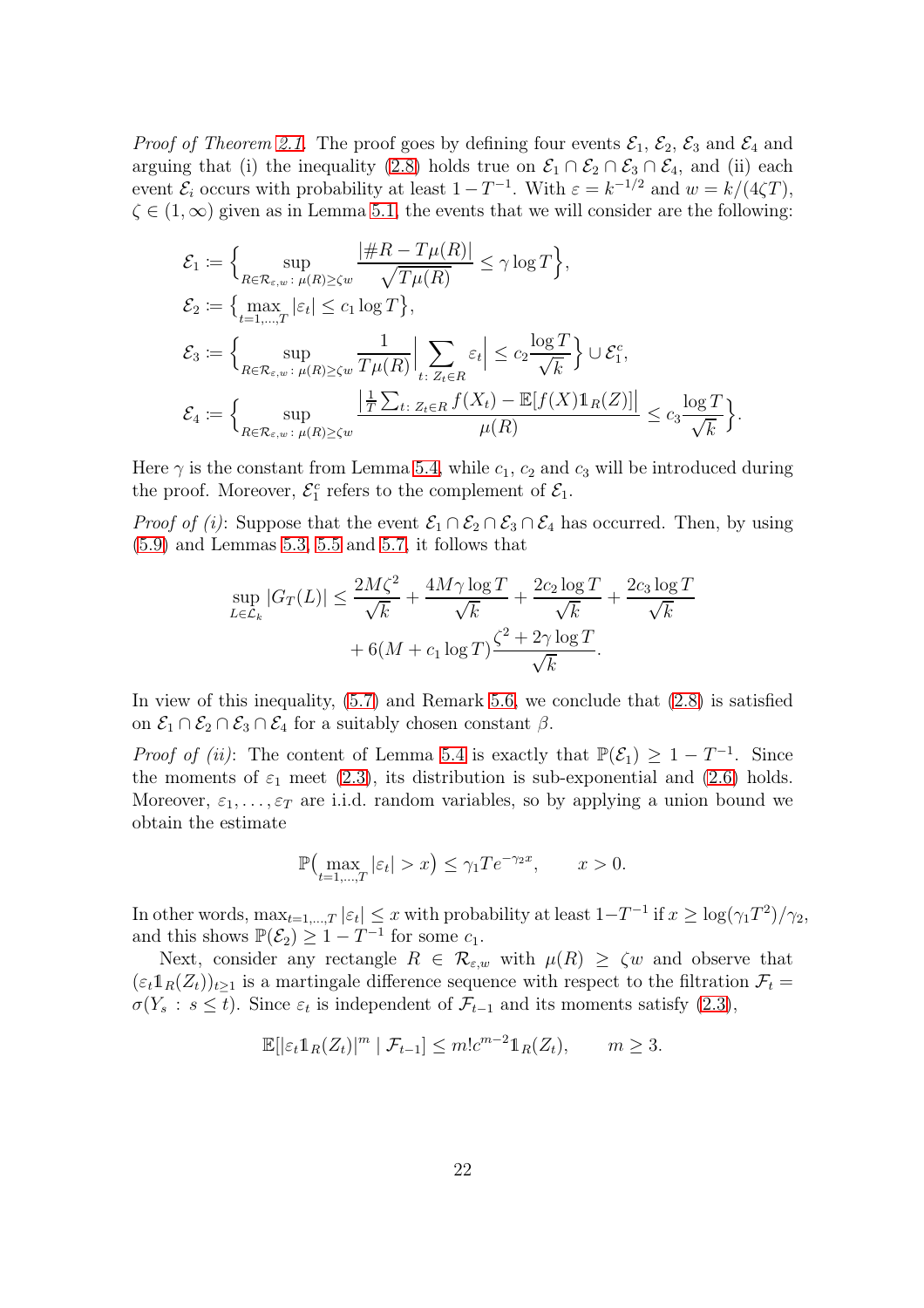*Proof of Theorem [2.1.](#page-5-0)* The proof goes by defining four events  $\mathcal{E}_1$ ,  $\mathcal{E}_2$ ,  $\mathcal{E}_3$  and  $\mathcal{E}_4$  and arguing that (i) the inequality [\(2.8\)](#page-5-3) holds true on  $\mathcal{E}_1 \cap \mathcal{E}_2 \cap \mathcal{E}_3 \cap \mathcal{E}_4$ , and (ii) each event  $\mathcal{E}_i$  occurs with probability at least  $1 - T^{-1}$ . With  $\varepsilon = k^{-1/2}$  and  $w = k/(4\zeta T)$ ,  $\zeta \in (1,\infty)$  given as in Lemma [5.1,](#page-13-0) the events that we will consider are the following:

$$
\mathcal{E}_1 := \Big\{ \sup_{R \in \mathcal{R}_{\varepsilon,w}: \ \mu(R) \ge \zeta w} \frac{|\#R - T\mu(R)|}{\sqrt{T\mu(R)}} \le \gamma \log T \Big\},
$$
\n
$$
\mathcal{E}_2 := \Big\{ \max_{t=1,\dots,T} |\varepsilon_t| \le c_1 \log T \Big\},
$$
\n
$$
\mathcal{E}_3 := \Big\{ \sup_{R \in \mathcal{R}_{\varepsilon,w}: \ \mu(R) \ge \zeta w} \frac{1}{T\mu(R)} \Big| \sum_{t:\ Z_t \in R} \varepsilon_t \Big| \le c_2 \frac{\log T}{\sqrt{k}} \Big\} \cup \mathcal{E}_1^c,
$$
\n
$$
\mathcal{E}_4 := \Big\{ \sup_{R \in \mathcal{R}_{\varepsilon,w}: \ \mu(R) \ge \zeta w} \frac{\Big| \frac{1}{T} \sum_{t:\ Z_t \in R} f(X_t) - \mathbb{E}[f(X) \mathbb{1}_R(Z)] \Big|}{\mu(R)} \le c_3 \frac{\log T}{\sqrt{k}} \Big\}.
$$

Here  $\gamma$  is the constant from Lemma [5.4,](#page-16-4) while  $c_1$ ,  $c_2$  and  $c_3$  will be introduced during the proof. Moreover,  $\mathcal{E}_1^c$  refers to the complement of  $\mathcal{E}_1$ .

*Proof of (i)*: Suppose that the event  $\mathcal{E}_1 \cap \mathcal{E}_2 \cap \mathcal{E}_3 \cap \mathcal{E}_4$  has occurred. Then, by using  $(5.9)$  and Lemmas [5.3,](#page-15-1) [5.5](#page-17-5) and [5.7,](#page-20-2) it follows that

$$
\sup_{L \in \mathcal{L}_k} |G_T(L)| \le \frac{2M\zeta^2}{\sqrt{k}} + \frac{4M\gamma \log T}{\sqrt{k}} + \frac{2c_2 \log T}{\sqrt{k}} + \frac{2c_3 \log T}{\sqrt{k}} + 6(M + c_1 \log T) \frac{\zeta^2 + 2\gamma \log T}{\sqrt{k}}.
$$

In view of this inequality, [\(5.7\)](#page-14-4) and Remark [5.6,](#page-19-3) we conclude that [\(2.8\)](#page-5-3) is satisfied on  $\mathcal{E}_1 \cap \mathcal{E}_2 \cap \mathcal{E}_3 \cap \mathcal{E}_4$  for a suitably chosen constant  $\beta$ .

*Proof of (ii)*: The content of Lemma [5.4](#page-16-4) is exactly that  $\mathbb{P}(\mathcal{E}_1) \geq 1 - T^{-1}$ . Since the moments of  $\varepsilon_1$  meet [\(2.3\)](#page-3-2), its distribution is sub-exponential and [\(2.6\)](#page-4-3) holds. Moreover,  $\varepsilon_1, \ldots, \varepsilon_T$  are i.i.d. random variables, so by applying a union bound we obtain the estimate

$$
\mathbb{P}\left(\max_{t=1,\dots,T}|\varepsilon_t| > x\right) \le \gamma_1 T e^{-\gamma_2 x}, \qquad x > 0.
$$

In other words,  $\max_{t=1,\dots,T} |\varepsilon_t| \leq x$  with probability at least  $1-T^{-1}$  if  $x \geq \log(\gamma_1 T^2)/\gamma_2$ , and this shows  $\mathbb{P}(\mathcal{E}_2) \geq 1 - T^{-1}$  for some  $c_1$ .

Next, consider any rectangle  $R \in \mathcal{R}_{\varepsilon,w}$  with  $\mu(R) \ge \zeta w$  and observe that  $(\epsilon_t 1_R(Z_t))_{t\geq 1}$  is a martingale difference sequence with respect to the filtration  $\mathcal{F}_t$  $\sigma(Y_s : s \le t)$ . Since  $\varepsilon_t$  is independent of  $\mathcal{F}_{t-1}$  and its moments satisfy [\(2.3\)](#page-3-2),

$$
\mathbb{E}[\left|\varepsilon_t 1\!\!1_R(Z_t)\right|^m \mid \mathcal{F}_{t-1}] \leq m!c^{m-2}1\!\!1_R(Z_t), \qquad m \geq 3.
$$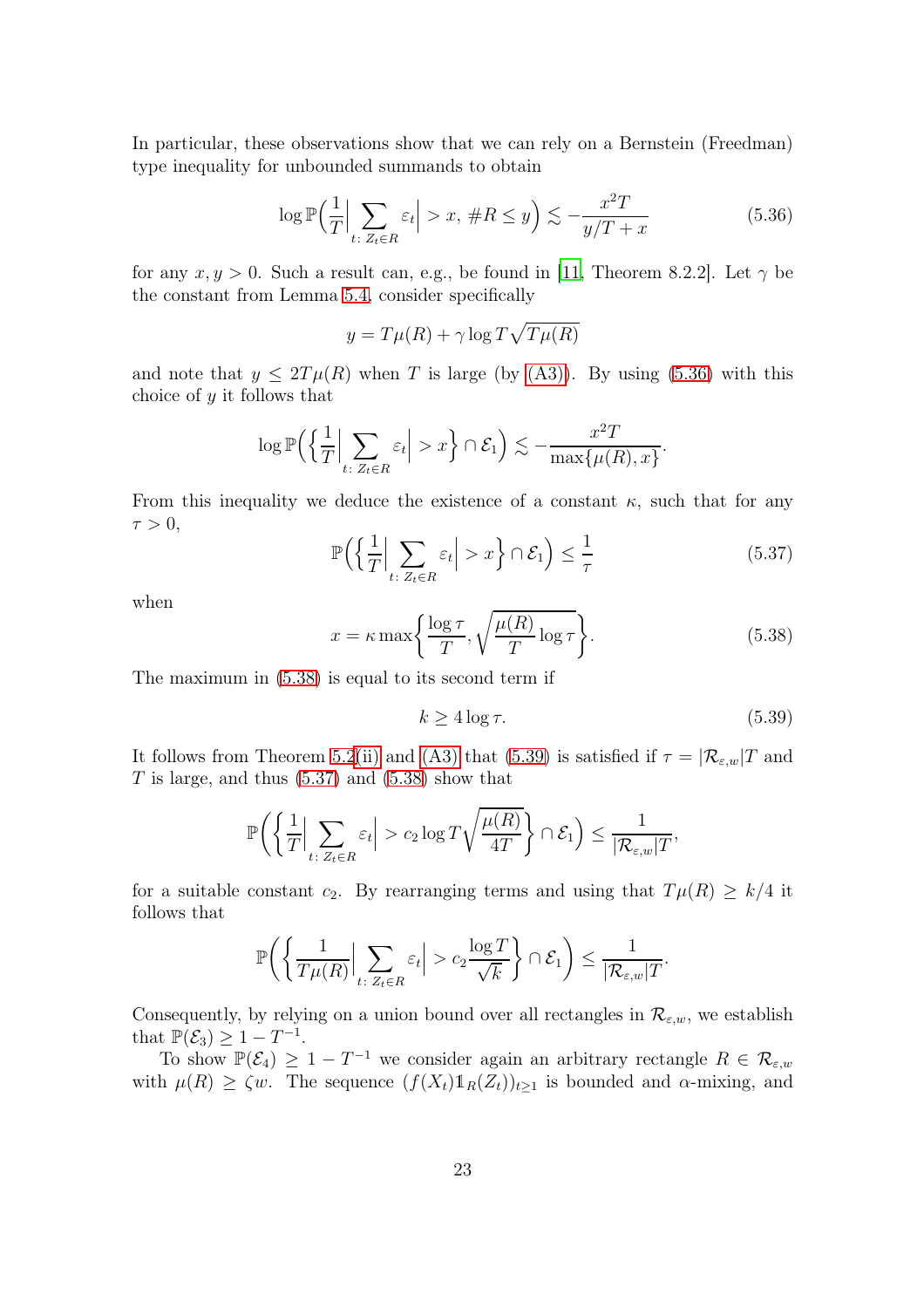In particular, these observations show that we can rely on a Bernstein (Freedman) type inequality for unbounded summands to obtain

<span id="page-22-0"></span>
$$
\log \mathbb{P}\left(\frac{1}{T}\Big|\sum_{t:\ Z_t \in R} \varepsilon_t\Big| > x,\ \#R \le y\right) \lesssim -\frac{x^2 T}{y/T + x} \tag{5.36}
$$

for any  $x, y > 0$ . Such a result can, e.g., be found in [\[11,](#page-27-13) Theorem 8.2.2]. Let  $\gamma$  be the constant from Lemma [5.4,](#page-16-4) consider specifically

$$
y = T\mu(R) + \gamma \log T\sqrt{T\mu(R)}
$$

and note that  $y \leq 2T\mu(R)$  when T is large (by [\(A3\)\)](#page-4-2). By using [\(5.36\)](#page-22-0) with this choice of y it follows that

$$
\log \mathbb{P}\Big(\Big\{\frac{1}{T}\Big|\sum_{t\colon Z_t\in R}\varepsilon_t\Big|>x\Big\}\cap \mathcal{E}_1\Big)\lesssim -\frac{x^2T}{\max\{\mu(R),x\}}.
$$

From this inequality we deduce the existence of a constant  $\kappa$ , such that for any  $\tau > 0$ ,

<span id="page-22-3"></span>
$$
\mathbb{P}\left(\left\{\frac{1}{T}\Big|\sum_{t:\ Z_t\in R}\varepsilon_t\Big|>x\right\}\cap\mathcal{E}_1\right)\le\frac{1}{\tau}\tag{5.37}
$$

when

<span id="page-22-1"></span>
$$
x = \kappa \max\left\{\frac{\log \tau}{T}, \sqrt{\frac{\mu(R)}{T} \log \tau}\right\}.
$$
 (5.38)

The maximum in [\(5.38\)](#page-22-1) is equal to its second term if

<span id="page-22-2"></span>
$$
k \ge 4\log \tau. \tag{5.39}
$$

It follows from Theorem [5.2](#page-14-2)[\(ii\)](#page-14-5) and [\(A3\)](#page-4-2) that [\(5.39\)](#page-22-2) is satisfied if  $\tau = |\mathcal{R}_{\varepsilon,w}|T$  and T is large, and thus  $(5.37)$  and  $(5.38)$  show that

$$
\mathbb{P}\bigg(\bigg\{\frac{1}{T}\Big|\sum_{t:\ Z_t\in R}\varepsilon_t\Big|>c_2\log T\sqrt{\frac{\mu(R)}{4T}}\bigg\}\cap\mathcal{E}_1\bigg)\leq \frac{1}{|\mathcal{R}_{\varepsilon,w}|T},
$$

for a suitable constant c<sub>2</sub>. By rearranging terms and using that  $T\mu(R) \geq k/4$  it follows that

$$
\mathbb{P}\bigg(\bigg\{\frac{1}{T\mu(R)}\bigg|\sum_{t\colon Z_t\in R}\varepsilon_t\bigg|>c_2\frac{\log T}{\sqrt{k}}\bigg\}\cap\mathcal{E}_1\bigg)\leq\frac{1}{|\mathcal{R}_{\varepsilon,w}|T}.
$$

Consequently, by relying on a union bound over all rectangles in  $\mathcal{R}_{\varepsilon,w}$ , we establish that  $\mathbb{P}(\mathcal{E}_3) \geq 1 - T^{-1}$ .

To show  $\mathbb{P}(\mathcal{E}_4) \geq 1 - T^{-1}$  we consider again an arbitrary rectangle  $R \in \mathcal{R}_{\varepsilon,w}$ with  $\mu(R) \ge \zeta w$ . The sequence  $(f(X_t)1_R(Z_t))_{t>1}$  is bounded and  $\alpha$ -mixing, and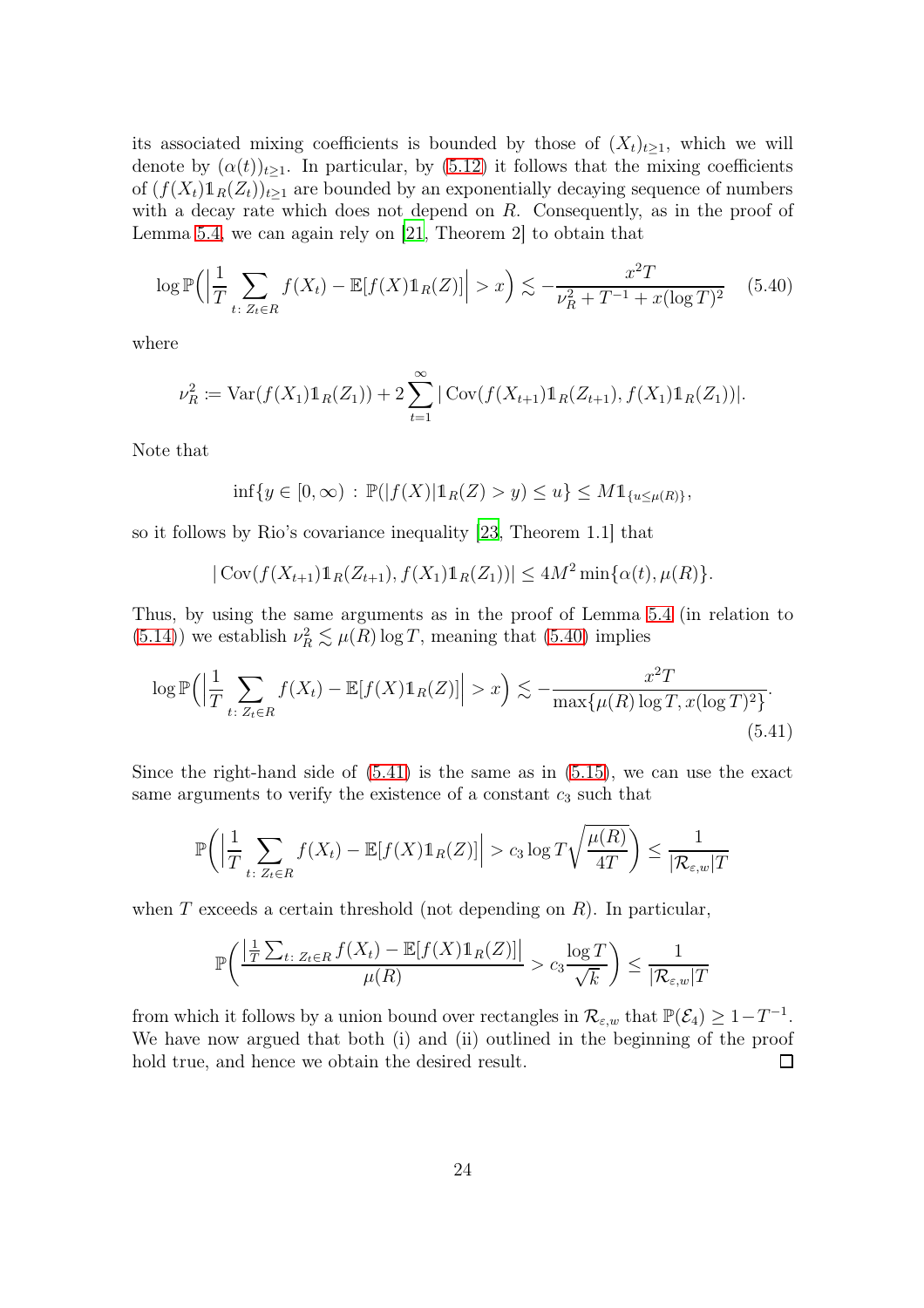its associated mixing coefficients is bounded by those of  $(X_t)_{t>1}$ , which we will denote by  $(\alpha(t))_{t>1}$ . In particular, by [\(5.12\)](#page-16-0) it follows that the mixing coefficients of  $(f(X_t)1_R(Z_t))_{t\geq 1}$  are bounded by an exponentially decaying sequence of numbers with a decay rate which does not depend on R. Consequently, as in the proof of Lemma [5.4,](#page-16-4) we can again rely on [\[21](#page-28-10), Theorem 2] to obtain that

<span id="page-23-0"></span>
$$
\log \mathbb{P}\Big(\Big|\frac{1}{T} \sum_{t \colon Z_t \in R} f(X_t) - \mathbb{E}[f(X)\mathbb{1}_R(Z)]\Big| > x\Big) \lesssim -\frac{x^2 T}{\nu_R^2 + T^{-1} + x(\log T)^2} \tag{5.40}
$$

where

$$
\nu_R^2 := \text{Var}(f(X_1) \mathbb{1}_R(Z_1)) + 2 \sum_{t=1}^{\infty} |\text{Cov}(f(X_{t+1}) \mathbb{1}_R(Z_{t+1}), f(X_1) \mathbb{1}_R(Z_1))|.
$$

Note that

$$
\inf\{y\in [0,\infty)\,:\, \mathbb{P}(|f(X)|1_R(Z)>y)\le u\}\le M1_{\{u\le\mu(R)\}},
$$

so it follows by Rio's covariance inequality [\[23](#page-28-11), Theorem 1.1] that

<span id="page-23-1"></span>
$$
|\operatorname{Cov}(f(X_{t+1})1_R(Z_{t+1}), f(X_1)1_R(Z_1))| \le 4M^2 \min{\{\alpha(t), \mu(R)\}}.
$$

Thus, by using the same arguments as in the proof of Lemma [5.4](#page-16-4) (in relation to [\(5.14\)](#page-16-5)) we establish  $\nu_R^2 \lesssim \mu(R) \log T$ , meaning that [\(5.40\)](#page-23-0) implies

$$
\log \mathbb{P}\Big(\Big|\frac{1}{T}\sum_{t:\ Z_t \in R} f(X_t) - \mathbb{E}[f(X)\mathbb{1}_R(Z)]\Big| > x\Big) \lesssim -\frac{x^2T}{\max\{\mu(R)\log T, x(\log T)^2\}}.
$$
\n(5.41)

Since the right-hand side of  $(5.41)$  is the same as in  $(5.15)$ , we can use the exact same arguments to verify the existence of a constant  $c_3$  such that

$$
\mathbb{P}\bigg(\bigg|\frac{1}{T}\sum_{t:\ Z_t\in R}f(X_t)-\mathbb{E}[f(X)\mathbb{1}_R(Z)]\bigg|>c_3\log T\sqrt{\frac{\mu(R)}{4T}}\bigg)\leq \frac{1}{|\mathcal{R}_{\varepsilon,w}|T}
$$

when T exceeds a certain threshold (not depending on  $R$ ). In particular,

$$
\mathbb{P}\bigg(\frac{\left|\frac{1}{T}\sum_{t:\ Z_t\in R}f(X_t)-\mathbb{E}[f(X)\mathbb{1}_R(Z)]\right|}{\mu(R)} > c_3\frac{\log T}{\sqrt{k}}\bigg) \le \frac{1}{|\mathcal{R}_{\varepsilon,w}|T}
$$

from which it follows by a union bound over rectangles in  $\mathcal{R}_{\varepsilon,w}$  that  $\mathbb{P}(\mathcal{E}_4) \geq 1-T^{-1}$ . We have now argued that both (i) and (ii) outlined in the beginning of the proof hold true, and hence we obtain the desired result.  $\Box$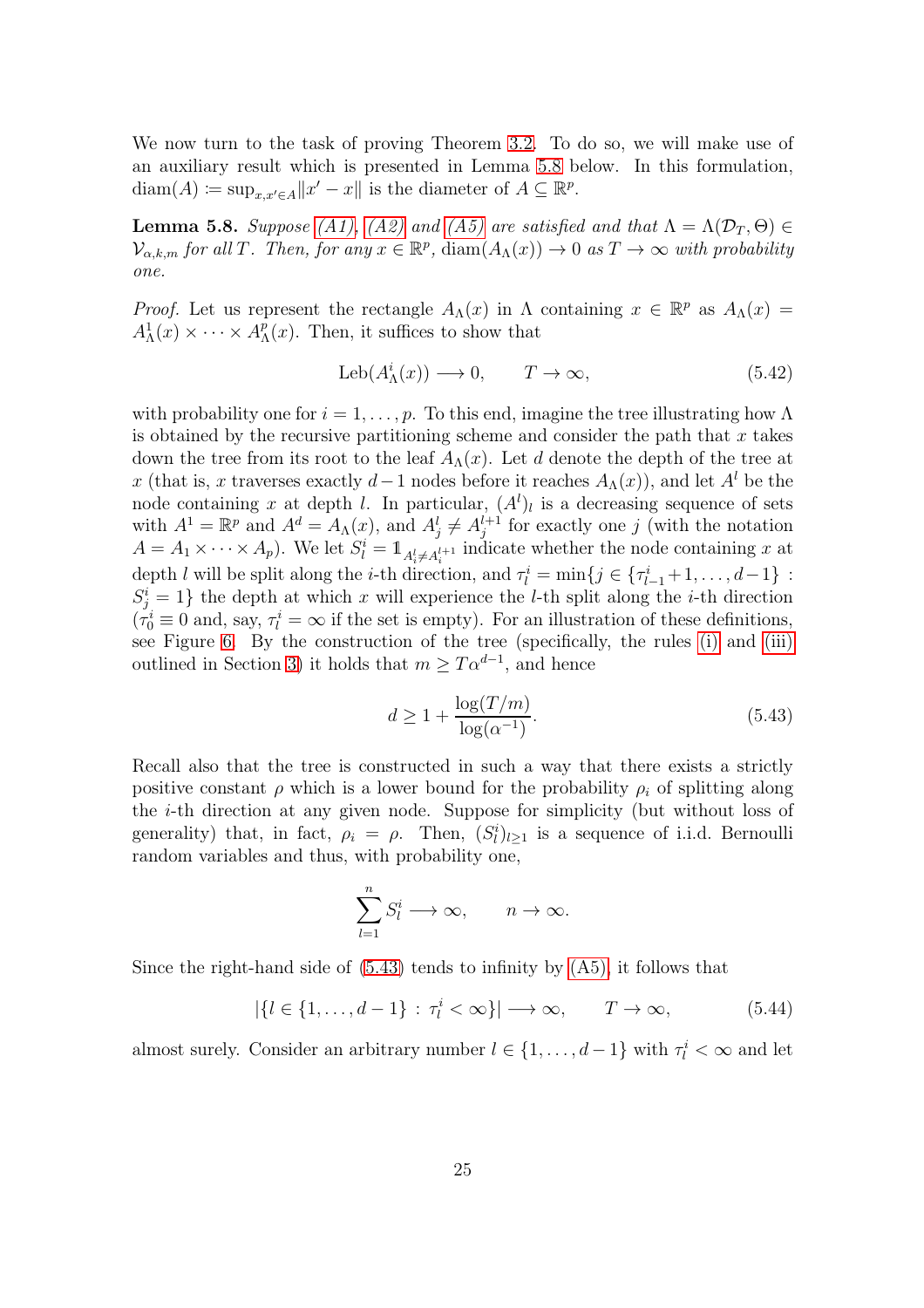We now turn to the task of proving Theorem [3.2.](#page-8-0) To do so, we will make use of an auxiliary result which is presented in Lemma [5.8](#page-24-0) below. In this formulation,  $\text{diam}(A) \coloneqq \sup_{x,x' \in A} ||x' - x||$  is the diameter of  $A \subseteq \mathbb{R}^p$ .

<span id="page-24-0"></span>**Lemma 5.8.** Suppose [\(A1\),](#page-3-1) [\(A2\)](#page-4-1) and [\(A5\)](#page-8-2) are satisfied and that  $\Lambda = \Lambda(\mathcal{D}_T, \Theta) \in$  $\mathcal{V}_{\alpha,k,m}$  for all T. Then, for any  $x \in \mathbb{R}^p$ ,  $\text{diam}(A_\Lambda(x)) \to 0$  as  $T \to \infty$  with probability one.

*Proof.* Let us represent the rectangle  $A_{\Lambda}(x)$  in  $\Lambda$  containing  $x \in \mathbb{R}^p$  as  $A_{\Lambda}(x) =$  $A^1_\Lambda(x) \times \cdots \times A^p_\Lambda$  $_{\Lambda}^{p}(x)$ . Then, it suffices to show that

$$
Leb(A^i_{\Lambda}(x)) \longrightarrow 0, \qquad T \to \infty,
$$
\n(5.42)

with probability one for  $i = 1, \ldots, p$ . To this end, imagine the tree illustrating how  $\Lambda$ is obtained by the recursive partitioning scheme and consider the path that  $x$  takes down the tree from its root to the leaf  $A_\Lambda(x)$ . Let d denote the depth of the tree at x (that is, x traverses exactly  $d-1$  nodes before it reaches  $A_{\Lambda}(x)$ ), and let  $A^{l}$  be the node containing x at depth l. In particular,  $(A^l)_l$  is a decreasing sequence of sets with  $A^1 = \mathbb{R}^p$  and  $A^d = A_{\Lambda}(x)$ , and  $A^l_j \neq A^{l+1}_j$  for exactly one j (with the notation  $A = A_1 \times \cdots \times A_p$ ). We let  $S_l^i = 1_{A_l^l \neq A_l^{l+1}}$  indicate whether the node containing x at depth l will be split along the i-th direction, and  $\tau_l^i = \min\{j \in \{\tau_{l-1}^i+1, \ldots, d-1\}$ :  $S_j^i = 1$ } the depth at which x will experience the *l*-th split along the *i*-th direction  $(\tau_0^i \equiv 0 \text{ and, say, } \tau_l^i = \infty \text{ if the set is empty}).$  For an illustration of these definitions, see Figure [6.](#page-26-0) By the construction of the tree (specifically, the rules [\(i\)](#page-7-0) and [\(iii\)](#page-7-3) outlined in Section [3\)](#page-6-0) it holds that  $m \geq T\alpha^{d-1}$ , and hence

<span id="page-24-1"></span>
$$
d \ge 1 + \frac{\log(T/m)}{\log(\alpha^{-1})}.
$$
\n(5.43)

Recall also that the tree is constructed in such a way that there exists a strictly positive constant  $\rho$  which is a lower bound for the probability  $\rho_i$  of splitting along the i-th direction at any given node. Suppose for simplicity (but without loss of generality) that, in fact,  $\rho_i = \rho$ . Then,  $(S_l^i)_{l \geq 1}$  is a sequence of i.i.d. Bernoulli random variables and thus, with probability one,

$$
\sum_{l=1}^{n} S_{l}^{i} \longrightarrow \infty, \qquad n \to \infty.
$$

Since the right-hand side of  $(5.43)$  tends to infinity by  $(A5)$ , it follows that

<span id="page-24-2"></span>
$$
|\{l \in \{1,\ldots,d-1\} : \tau_l^i < \infty\}| \longrightarrow \infty, \qquad T \to \infty,
$$
\n
$$
(5.44)
$$

almost surely. Consider an arbitrary number  $l \in \{1, ..., d-1\}$  with  $\tau_l^i < \infty$  and let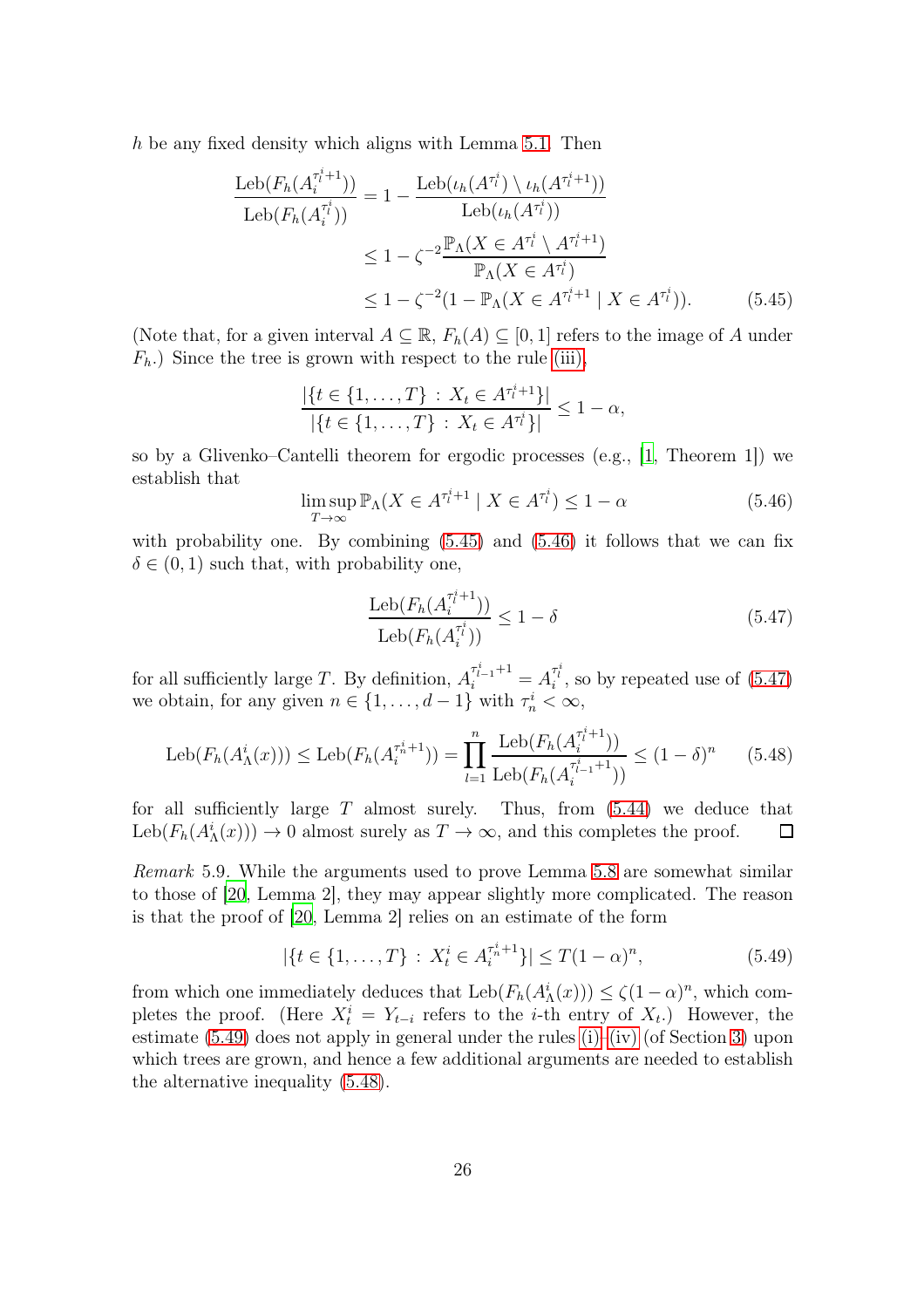h be any fixed density which aligns with Lemma  $5.1$ . Then

$$
\frac{\text{Leb}(F_h(A_i^{\tau_i^i+1}))}{\text{Leb}(F_h(A_i^{\tau_i^i}))} = 1 - \frac{\text{Leb}(\iota_h(A^{\tau_i^i}) \setminus \iota_h(A^{\tau_i^i+1}))}{\text{Leb}(\iota_h(A^{\tau_i^i}))}
$$
\n
$$
\leq 1 - \zeta^{-2} \frac{\mathbb{P}_{\Lambda}(X \in A^{\tau_i^i} \setminus A^{\tau_i^i+1})}{\mathbb{P}_{\Lambda}(X \in A^{\tau_i^i})}
$$
\n
$$
\leq 1 - \zeta^{-2} (1 - \mathbb{P}_{\Lambda}(X \in A^{\tau_i^i+1} \mid X \in A^{\tau_i^i})). \tag{5.45}
$$

(Note that, for a given interval  $A \subseteq \mathbb{R}$ ,  $F_h(A) \subseteq [0,1]$  refers to the image of A under  $F_h$ .) Since the tree is grown with respect to the rule [\(iii\),](#page-7-3)

<span id="page-25-0"></span>
$$
\frac{|\{t \in \{1, \ldots, T\} : X_t \in A^{\tau^i_t+1}\}|}{|\{t \in \{1, \ldots, T\} : X_t \in A^{\tau^i_t}\}|} \le 1 - \alpha,
$$

so by a Glivenko–Cantelli theorem for ergodic processes (e.g., [\[1,](#page-27-14) Theorem 1]) we establish that

<span id="page-25-1"></span>
$$
\limsup_{T \to \infty} \mathbb{P}_{\Lambda}(X \in A^{\tau_l^i+1} \mid X \in A^{\tau_l^i}) \le 1 - \alpha \tag{5.46}
$$

with probability one. By combining  $(5.45)$  and  $(5.46)$  it follows that we can fix  $\delta \in (0, 1)$  such that, with probability one,

<span id="page-25-2"></span>
$$
\frac{\text{Leb}(F_h(A_i^{\tau_i^i+1}))}{\text{Leb}(F_h(A_i^{\tau_i^i}))} \le 1 - \delta
$$
\n(5.47)

for all sufficiently large T. By definition,  $A_i^{\tau_{i-1}^i+1} = A_i^{\tau_i^i}$ , so by repeated use of [\(5.47\)](#page-25-2) we obtain, for any given  $n \in \{1, ..., d-1\}$  with  $\tau_n^i < \infty$ ,

<span id="page-25-4"></span>
$$
\text{Leb}(F_h(A_\Lambda^i(x))) \le \text{Leb}(F_h(A_i^{\tau_h^i+1})) = \prod_{l=1}^n \frac{\text{Leb}(F_h(A_i^{\tau_l^i+1}))}{\text{Leb}(F_h(A_i^{\tau_{l-1}^i+1}))} \le (1-\delta)^n \tag{5.48}
$$

for all sufficiently large  $T$  almost surely. Thus, from  $(5.44)$  we deduce that  $\text{Leb}(F_h(A^i_{\Lambda}(x))) \to 0$  almost surely as  $T \to \infty$ , and this completes the proof.  $\Box$ 

Remark 5.9. While the arguments used to prove Lemma [5.8](#page-24-0) are somewhat similar to those of [\[20](#page-28-9), Lemma 2], they may appear slightly more complicated. The reason is that the proof of [\[20](#page-28-9), Lemma 2] relies on an estimate of the form

<span id="page-25-3"></span>
$$
|\{t \in \{1, \ldots, T\} : X_t^i \in A_i^{\tau_n^i + 1}\}| \le T(1 - \alpha)^n,\tag{5.49}
$$

from which one immediately deduces that  $\text{Leb}(F_h(A^i_{\Lambda}(x))) \leq \zeta(1-\alpha)^n$ , which completes the proof. (Here  $X_t^i = Y_{t-i}$  refers to the *i*-th entry of  $X_t$ .) However, the estimate  $(5.49)$  does not apply in general under the rules  $(i)$ – $(iv)$  (of Section [3\)](#page-6-0) upon which trees are grown, and hence a few additional arguments are needed to establish the alternative inequality [\(5.48\)](#page-25-4).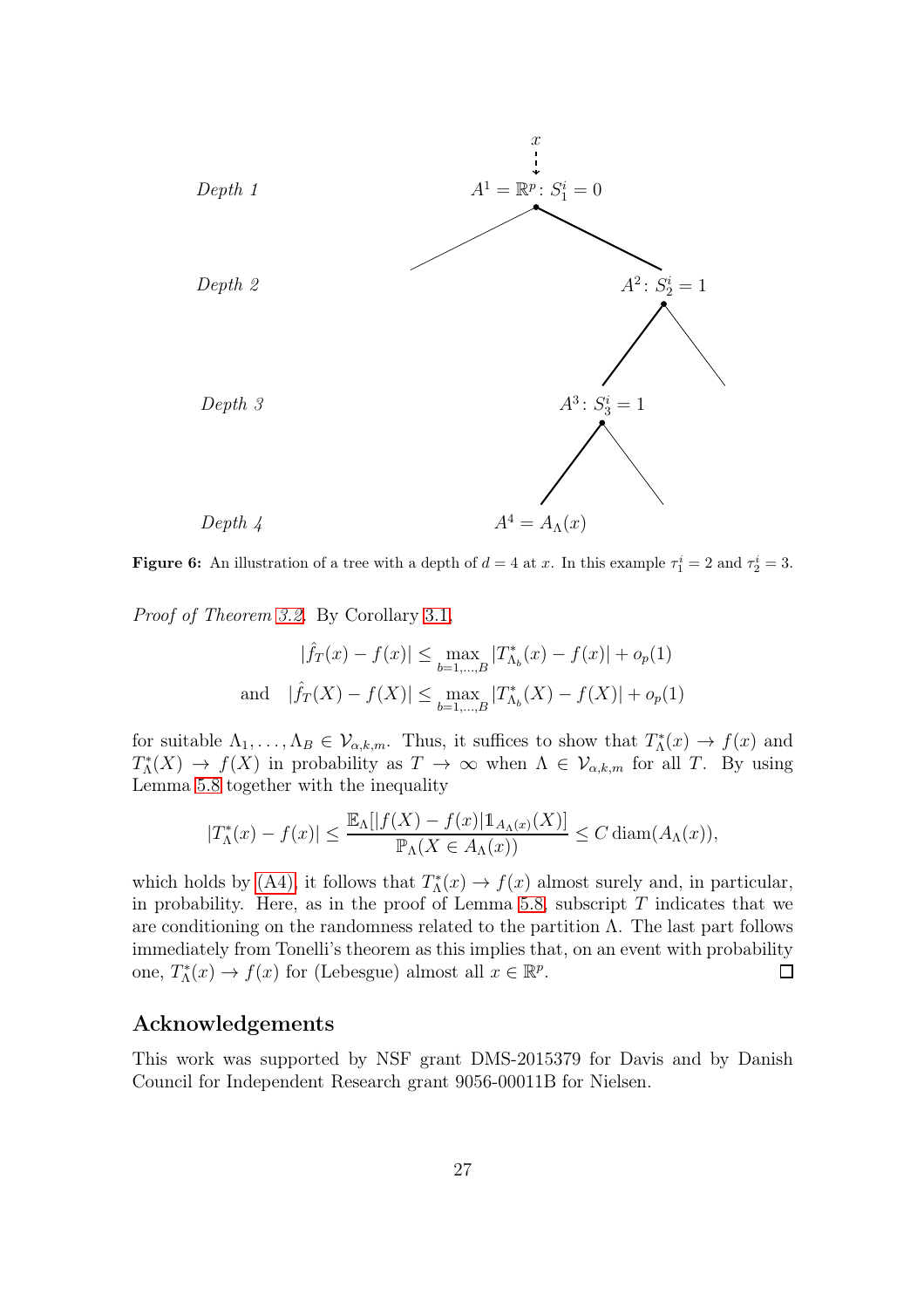<span id="page-26-0"></span>

**Figure 6:** An illustration of a tree with a depth of  $d = 4$  at x. In this example  $\tau_1^i = 2$  and  $\tau_2^i = 3$ .

Proof of Theorem [3.2.](#page-8-0) By Corollary [3.1,](#page-6-1)

$$
|\hat{f}_T(x) - f(x)| \le \max_{b=1,\dots,B} |T^*_{\Lambda_b}(x) - f(x)| + o_p(1)
$$
  
and 
$$
|\hat{f}_T(X) - f(X)| \le \max_{b=1,\dots,B} |T^*_{\Lambda_b}(X) - f(X)| + o_p(1)
$$

for suitable  $\Lambda_1, \ldots, \Lambda_B \in \mathcal{V}_{\alpha,k,m}$ . Thus, it suffices to show that  $T_{\Lambda}^*(x) \to f(x)$  and  $T^*_{\Lambda}(X) \to f(X)$  in probability as  $T \to \infty$  when  $\Lambda \in \mathcal{V}_{\alpha,k,m}$  for all T. By using Lemma [5.8](#page-24-0) together with the inequality

$$
|T_{\Lambda}^*(x) - f(x)| \le \frac{\mathbb{E}_{\Lambda}[|f(X) - f(x)|\mathbb{1}_{A_{\Lambda}(x)}(X)]}{\mathbb{P}_{\Lambda}(X \in A_{\Lambda}(x))} \le C \operatorname{diam}(A_{\Lambda}(x)),
$$

which holds by [\(A4\),](#page-8-3) it follows that  $T_{\Lambda}^*(x) \to f(x)$  almost surely and, in particular, in probability. Here, as in the proof of Lemma [5.8,](#page-24-0) subscript  $T$  indicates that we are conditioning on the randomness related to the partition  $\Lambda$ . The last part follows immediately from Tonelli's theorem as this implies that, on an event with probability one,  $T_{\Lambda}^*(x) \to f(x)$  for (Lebesgue) almost all  $x \in \mathbb{R}^p$ .  $\Box$ 

#### Acknowledgements

This work was supported by NSF grant DMS-2015379 for Davis and by Danish Council for Independent Research grant 9056-00011B for Nielsen.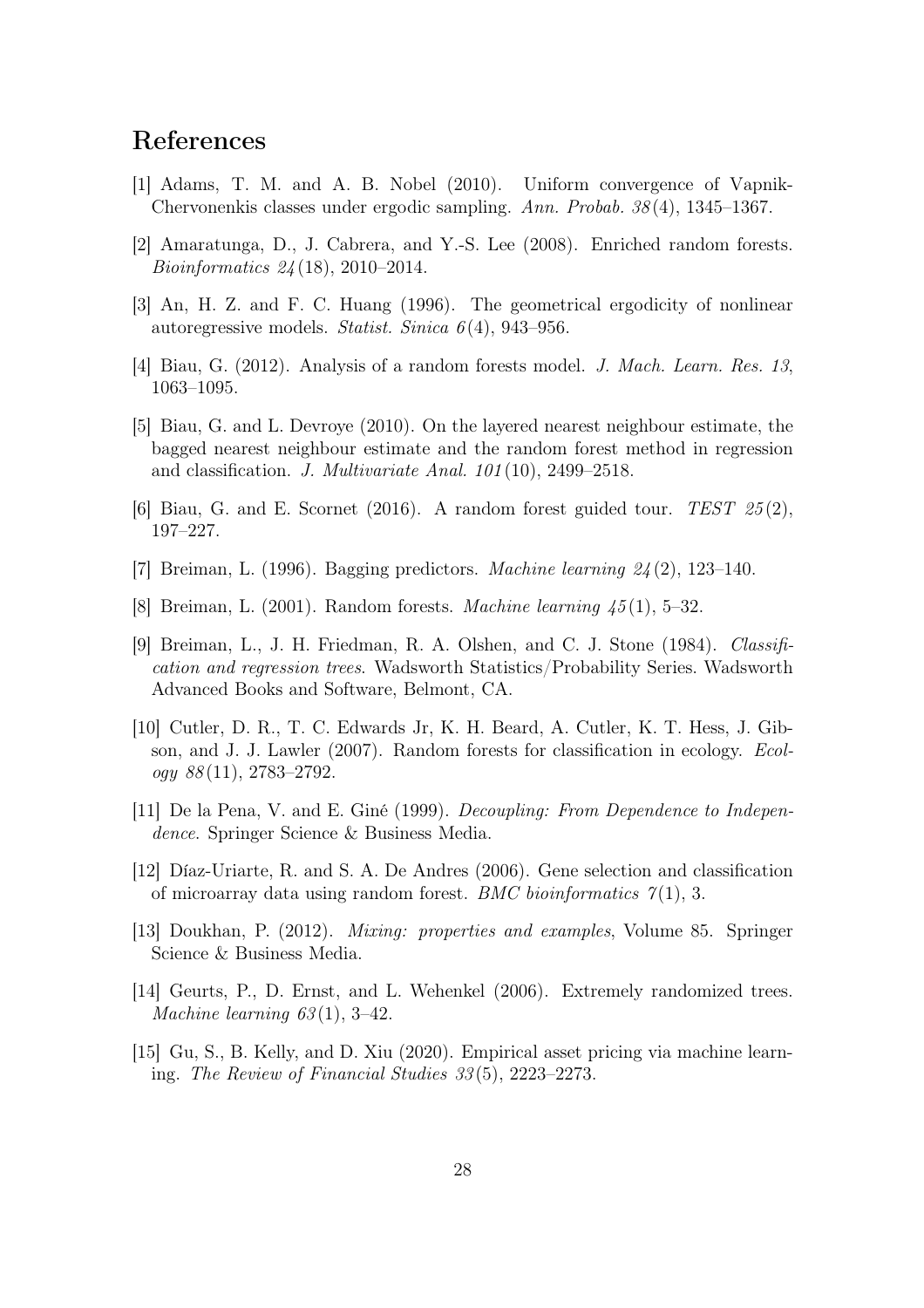### References

- <span id="page-27-14"></span>[1] Adams, T. M. and A. B. Nobel (2010). Uniform convergence of Vapnik-Chervonenkis classes under ergodic sampling. Ann. Probab. 38 (4), 1345–1367.
- <span id="page-27-6"></span>[2] Amaratunga, D., J. Cabrera, and Y.-S. Lee (2008). Enriched random forests. Bioinformatics 24 (18), 2010–2014.
- <span id="page-27-11"></span>[3] An, H. Z. and F. C. Huang (1996). The geometrical ergodicity of nonlinear autoregressive models. Statist. Sinica  $6(4)$ , 943–956.
- <span id="page-27-8"></span>[4] Biau, G. (2012). Analysis of a random forests model. J. Mach. Learn. Res. 13, 1063–1095.
- <span id="page-27-9"></span>[5] Biau, G. and L. Devroye (2010). On the layered nearest neighbour estimate, the bagged nearest neighbour estimate and the random forest method in regression and classification. J. Multivariate Anal. 101 (10), 2499–2518.
- <span id="page-27-10"></span>[6] Biau, G. and E. Scornet (2016). A random forest guided tour. TEST  $25(2)$ , 197–227.
- <span id="page-27-5"></span>[7] Breiman, L. (1996). Bagging predictors. *Machine learning*  $24(2)$ , 123–140.
- <span id="page-27-0"></span>[8] Breiman, L. (2001). Random forests. Machine learning 45 (1), 5–32.
- <span id="page-27-1"></span>[9] Breiman, L., J. H. Friedman, R. A. Olshen, and C. J. Stone (1984). Classification and regression trees. Wadsworth Statistics/Probability Series. Wadsworth Advanced Books and Software, Belmont, CA.
- <span id="page-27-3"></span>[10] Cutler, D. R., T. C. Edwards Jr, K. H. Beard, A. Cutler, K. T. Hess, J. Gibson, and J. J. Lawler (2007). Random forests for classification in ecology. Ecol $oqy 88(11), 2783-2792.$
- <span id="page-27-13"></span>[11] De la Pena, V. and E. Giné (1999). Decoupling: From Dependence to Independence. Springer Science & Business Media.
- <span id="page-27-2"></span>[12] Díaz-Uriarte, R. and S. A. De Andres (2006). Gene selection and classification of microarray data using random forest. *BMC bioinformatics*  $\gamma(1)$ , 3.
- <span id="page-27-12"></span>[13] Doukhan, P. (2012). Mixing: properties and examples, Volume 85. Springer Science & Business Media.
- <span id="page-27-7"></span>[14] Geurts, P., D. Ernst, and L. Wehenkel (2006). Extremely randomized trees. Machine learning  $63(1)$ , 3-42.
- <span id="page-27-4"></span>[15] Gu, S., B. Kelly, and D. Xiu (2020). Empirical asset pricing via machine learning. The Review of Financial Studies 33 (5), 2223–2273.